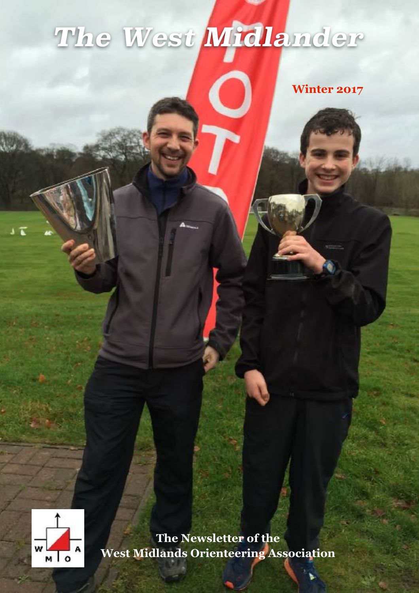# *The West Midlander*

**Winter 2017**



 $17$ 

**The Newsletter of the West Midlands Orienteering Association**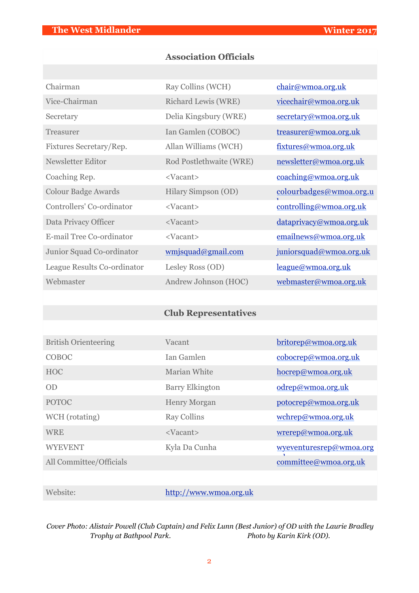# **Association Officials**

| Chairman                    | Ray Collins (WCH)       | chair@wmoa.org.uk       |
|-----------------------------|-------------------------|-------------------------|
| Vice-Chairman               | Richard Lewis (WRE)     | vicechair@wmoa.org.uk   |
| Secretary                   | Delia Kingsbury (WRE)   | secretary@wmoa.org.uk   |
| Treasurer                   | Ian Gamlen (COBOC)      | treasurer@wmoa.org.uk   |
| Fixtures Secretary/Rep.     | Allan Williams (WCH)    | fixtures@wmoa.org.uk    |
| Newsletter Editor           | Rod Postlethwaite (WRE) | newsletter@wmoa.org.uk  |
| Coaching Rep.               | <vacant></vacant>       | coaching@wmoa.org.uk    |
| <b>Colour Badge Awards</b>  | Hilary Simpson (OD)     | colourbadges@wmoa.org.u |
| Controllers' Co-ordinator   | <vacant></vacant>       | controlling@wmoa.org.uk |
| Data Privacy Officer        | <vacant></vacant>       | dataprivacy@wmoa.org.uk |
| E-mail Tree Co-ordinator    | <vacant></vacant>       | emailnews@wmoa.org.uk   |
| Junior Squad Co-ordinator   | wmjsquad@gmail.com      | juniorsquad@wmoa.org.uk |
| League Results Co-ordinator | Lesley Ross (OD)        | league@wmoa.org.uk      |
| Webmaster                   | Andrew Johnson (HOC)    | webmaster@wmoa.org.uk   |

# **Club Representatives**

| <b>British Orienteering</b> | Vacant                 | britorep@wmoa.org.uk    |
|-----------------------------|------------------------|-------------------------|
| <b>COBOC</b>                | Ian Gamlen             | cobocrep@wmoa.org.uk    |
| <b>HOC</b>                  | Marian White           | hocrep@wmoa.org.uk      |
| OD                          | <b>Barry Elkington</b> | odrep@wmoa.org.uk       |
| <b>POTOC</b>                | <b>Henry Morgan</b>    | potocrep@wmoa.org.uk    |
| WCH (rotating)              | <b>Ray Collins</b>     | wchrep@wmoa.org.uk      |
| <b>WRE</b>                  | <vacant></vacant>      | wrerep@wmoa.org.uk      |
| <b>WYEVENT</b>              | Kyla Da Cunha          | wyeventuresrep@wmoa.org |
| All Committee/Officials     |                        | committee@wmoa.org.uk   |

Website: <http://www.wmoa.org.uk>

*Cover Photo: Alistair Powell (Club Captain) and Felix Lunn (Best Junior) of OD with the Laurie Bradley Trophy at Bathpool Park. Photo by Karin Kirk (OD).*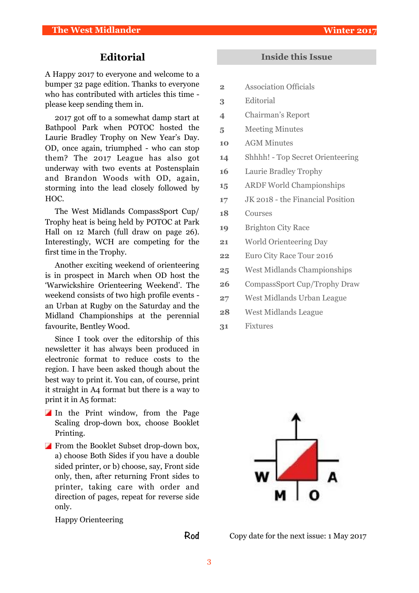# **Editorial**

A Happy 2017 to everyone and welcome to a bumper 32 page edition. Thanks to everyone who has contributed with articles this time please keep sending them in.

2017 got off to a somewhat damp start at Bathpool Park when POTOC hosted the Laurie Bradley Trophy on New Year's Day. OD, once again, triumphed - who can stop them? The 2017 League has also got underway with two events at Postensplain and Brandon Woods with OD, again, storming into the lead closely followed by HOC.

The West Midlands CompassSport Cup/ Trophy heat is being held by POTOC at Park Hall on 12 March (full draw on page 26). Interestingly, WCH are competing for the first time in the Trophy.

Another exciting weekend of orienteering is in prospect in March when OD host the 'Warwickshire Orienteering Weekend'. The weekend consists of two high profile events an Urban at Rugby on the Saturday and the Midland Championships at the perennial favourite, Bentley Wood.

Since I took over the editorship of this newsletter it has always been produced in electronic format to reduce costs to the region. I have been asked though about the best way to print it. You can, of course, print it straight in A4 format but there is a way to print it in A5 format:

- In the Print window, from the Page Scaling drop-down box, choose Booklet Printing.
- From the Booklet Subset drop-down box, a) choose Both Sides if you have a double sided printer, or b) choose, say, Front side only, then, after returning Front sides to printer, taking care with order and direction of pages, repeat for reverse side only.

Happy Orienteering

**Rod**

# **Inside this Issue**

- **2** Association Officials
- **3** Editorial
- **4** Chairman's Report
- **5** Meeting Minutes
- **10** AGM Minutes
- **14** Shhhh! Top Secret Orienteering
- **16** Laurie Bradley Trophy
- **15** ARDF World Championships
- **17** JK 2018 the Financial Position
- **18** Courses
- **19** Brighton City Race
- **21** World Orienteering Day
- **22** Euro City Race Tour 2016
- **25** West Midlands Championships
- **26** CompassSport Cup/Trophy Draw
- **27** West Midlands Urban League
- **28** West Midlands League
- **31** Fixtures



Copy date for the next issue: 1 May 2017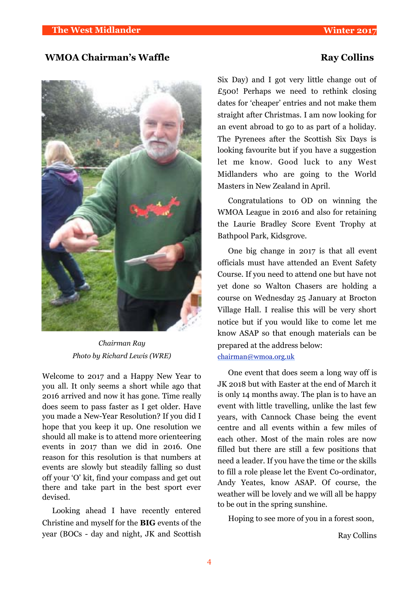# **WMOA Chairman's Waffle Ray Collins**



*Chairman Ray Photo by Richard Lewis (WRE)*

Welcome to 2017 and a Happy New Year to you all. It only seems a short while ago that 2016 arrived and now it has gone. Time really does seem to pass faster as I get older. Have you made a New-Year Resolution? If you did I hope that you keep it up. One resolution we should all make is to attend more orienteering events in 2017 than we did in 2016. One reason for this resolution is that numbers at events are slowly but steadily falling so dust off your 'O' kit, find your compass and get out there and take part in the best sport ever devised.

Looking ahead I have recently entered Christine and myself for the **BIG** events of the year (BOCs - day and night, JK and Scottish Six Day) and I got very little change out of £500! Perhaps we need to rethink closing dates for 'cheaper' entries and not make them straight after Christmas. I am now looking for an event abroad to go to as part of a holiday. The Pyrenees after the Scottish Six Days is looking favourite but if you have a suggestion let me know. Good luck to any West Midlanders who are going to the World Masters in New Zealand in April.

Congratulations to OD on winning the WMOA League in 2016 and also for retaining the Laurie Bradley Score Event Trophy at Bathpool Park, Kidsgrove.

One big change in 2017 is that all event officials must have attended an Event Safety Course. If you need to attend one but have not yet done so Walton Chasers are holding a course on Wednesday 25 January at Brocton Village Hall. I realise this will be very short notice but if you would like to come let me know ASAP so that enough materials can be prepared at the address below: [chairman@wmoa.org.uk](mailto:chairman@wmoa.org.uk)

One event that does seem a long way off is JK 2018 but with Easter at the end of March it is only 14 months away. The plan is to have an event with little travelling, unlike the last few years, with Cannock Chase being the event centre and all events within a few miles of each other. Most of the main roles are now filled but there are still a few positions that need a leader. If you have the time or the skills to fill a role please let the Event Co-ordinator, Andy Yeates, know ASAP. Of course, the weather will be lovely and we will all be happy to be out in the spring sunshine.

Hoping to see more of you in a forest soon,

Ray Collins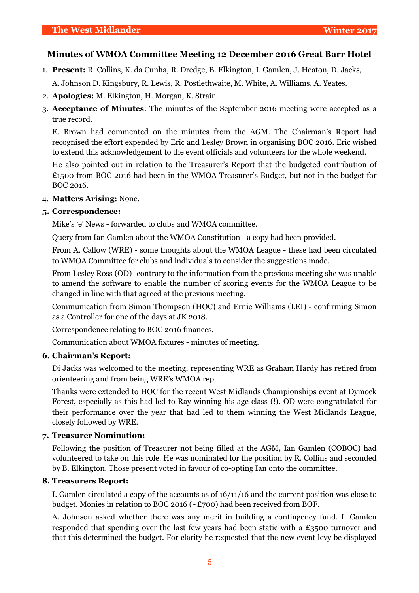# **Minutes of WMOA Committee Meeting 12 December 2016 Great Barr Hotel**

1. **Present:** R. Collins, K. da Cunha, R. Dredge, B. Elkington, I. Gamlen, J. Heaton, D. Jacks,

A. Johnson D. Kingsbury, R. Lewis, R. Postlethwaite, M. White, A. Williams, A. Yeates.

- 2. **Apologies:** M. Elkington, H. Morgan, K. Strain.
- 3. **Acceptance of Minutes**: The minutes of the September 2016 meeting were accepted as a true record.

E. Brown had commented on the minutes from the AGM. The Chairman's Report had recognised the effort expended by Eric and Lesley Brown in organising BOC 2016. Eric wished to extend this acknowledgement to the event officials and volunteers for the whole weekend.

He also pointed out in relation to the Treasurer's Report that the budgeted contribution of £1500 from BOC 2016 had been in the WMOA Treasurer's Budget, but not in the budget for BOC 2016.

# 4. **Matters Arising:** None.

# **5. Correspondence:**

Mike's 'e' News - forwarded to clubs and WMOA committee.

Query from Ian Gamlen about the WMOA Constitution - a copy had been provided.

From A. Callow (WRE) - some thoughts about the WMOA League - these had been circulated to WMOA Committee for clubs and individuals to consider the suggestions made.

From Lesley Ross (OD) -contrary to the information from the previous meeting she was unable to amend the software to enable the number of scoring events for the WMOA League to be changed in line with that agreed at the previous meeting.

Communication from Simon Thompson (HOC) and Ernie Williams (LEI) - confirming Simon as a Controller for one of the days at JK 2018.

Correspondence relating to BOC 2016 finances.

Communication about WMOA fixtures - minutes of meeting.

# **6. Chairman's Report:**

Di Jacks was welcomed to the meeting, representing WRE as Graham Hardy has retired from orienteering and from being WRE's WMOA rep.

Thanks were extended to HOC for the recent West Midlands Championships event at Dymock Forest, especially as this had led to Ray winning his age class (!). OD were congratulated for their performance over the year that had led to them winning the West Midlands League, closely followed by WRE.

# **7. Treasurer Nomination:**

Following the position of Treasurer not being filled at the AGM, Ian Gamlen (COBOC) had volunteered to take on this role. He was nominated for the position by R. Collins and seconded by B. Elkington. Those present voted in favour of co-opting Ian onto the committee.

# **8. Treasurers Report:**

I. Gamlen circulated a copy of the accounts as of 16/11/16 and the current position was close to budget. Monies in relation to BOC 2016 (~£700) had been received from BOF.

A. Johnson asked whether there was any merit in building a contingency fund. I. Gamlen responded that spending over the last few years had been static with a £3500 turnover and that this determined the budget. For clarity he requested that the new event levy be displayed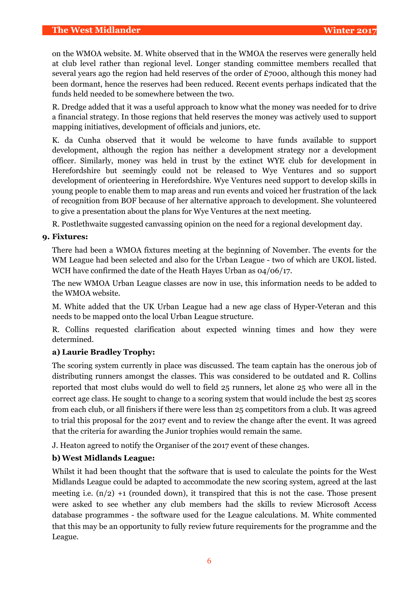on the WMOA website. M. White observed that in the WMOA the reserves were generally held at club level rather than regional level. Longer standing committee members recalled that several years ago the region had held reserves of the order of £7000, although this money had been dormant, hence the reserves had been reduced. Recent events perhaps indicated that the funds held needed to be somewhere between the two.

R. Dredge added that it was a useful approach to know what the money was needed for to drive a financial strategy. In those regions that held reserves the money was actively used to support mapping initiatives, development of officials and juniors, etc.

K. da Cunha observed that it would be welcome to have funds available to support development, although the region has neither a development strategy nor a development officer. Similarly, money was held in trust by the extinct WYE club for development in Herefordshire but seemingly could not be released to Wye Ventures and so support development of orienteering in Herefordshire. Wye Ventures need support to develop skills in young people to enable them to map areas and run events and voiced her frustration of the lack of recognition from BOF because of her alternative approach to development. She volunteered to give a presentation about the plans for Wye Ventures at the next meeting.

R. Postlethwaite suggested canvassing opinion on the need for a regional development day.

# **9. Fixtures:**

There had been a WMOA fixtures meeting at the beginning of November. The events for the WM League had been selected and also for the Urban League - two of which are UKOL listed. WCH have confirmed the date of the Heath Hayes Urban as 04/06/17.

The new WMOA Urban League classes are now in use, this information needs to be added to the WMOA website.

M. White added that the UK Urban League had a new age class of Hyper-Veteran and this needs to be mapped onto the local Urban League structure.

R. Collins requested clarification about expected winning times and how they were determined.

# **a) Laurie Bradley Trophy:**

The scoring system currently in place was discussed. The team captain has the onerous job of distributing runners amongst the classes. This was considered to be outdated and R. Collins reported that most clubs would do well to field 25 runners, let alone 25 who were all in the correct age class. He sought to change to a scoring system that would include the best 25 scores from each club, or all finishers if there were less than 25 competitors from a club. It was agreed to trial this proposal for the 2017 event and to review the change after the event. It was agreed that the criteria for awarding the Junior trophies would remain the same.

J. Heaton agreed to notify the Organiser of the 2017 event of these changes.

# **b)West Midlands League:**

Whilst it had been thought that the software that is used to calculate the points for the West Midlands League could be adapted to accommodate the new scoring system, agreed at the last meeting i.e.  $(n/2) + 1$  (rounded down), it transpired that this is not the case. Those present were asked to see whether any club members had the skills to review Microsoft Access database programmes - the software used for the League calculations. M. White commented that this may be an opportunity to fully review future requirements for the programme and the League.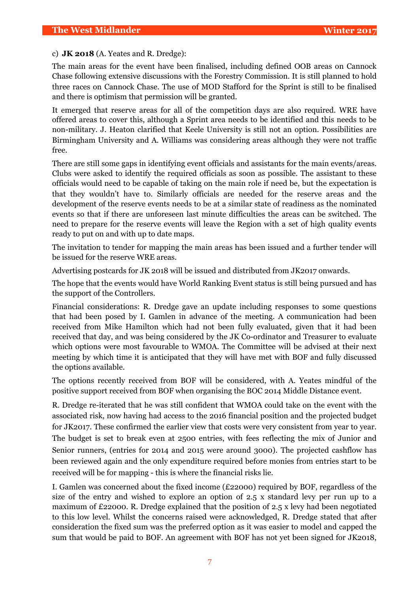# c) **JK 2018** (A. Yeates and R. Dredge):

The main areas for the event have been finalised, including defined OOB areas on Cannock Chase following extensive discussions with the Forestry Commission. It is still planned to hold three races on Cannock Chase. The use of MOD Stafford for the Sprint is still to be finalised and there is optimism that permission will be granted.

It emerged that reserve areas for all of the competition days are also required. WRE have offered areas to cover this, although a Sprint area needs to be identified and this needs to be non-military. J. Heaton clarified that Keele University is still not an option. Possibilities are Birmingham University and A. Williams was considering areas although they were not traffic free.

There are still some gaps in identifying event officials and assistants for the main events/areas. Clubs were asked to identify the required officials as soon as possible. The assistant to these officials would need to be capable of taking on the main role if need be, but the expectation is that they wouldn't have to. Similarly officials are needed for the reserve areas and the development of the reserve events needs to be at a similar state of readiness as the nominated events so that if there are unforeseen last minute difficulties the areas can be switched. The need to prepare for the reserve events will leave the Region with a set of high quality events ready to put on and with up to date maps.

The invitation to tender for mapping the main areas has been issued and a further tender will be issued for the reserve WRE areas.

Advertising postcards for JK 2018 will be issued and distributed from JK2017 onwards.

The hope that the events would have World Ranking Event status is still being pursued and has the support of the Controllers.

Financial considerations: R. Dredge gave an update including responses to some questions that had been posed by I. Gamlen in advance of the meeting. A communication had been received from Mike Hamilton which had not been fully evaluated, given that it had been received that day, and was being considered by the JK Co-ordinator and Treasurer to evaluate which options were most favourable to WMOA. The Committee will be advised at their next meeting by which time it is anticipated that they will have met with BOF and fully discussed the options available.

The options recently received from BOF will be considered, with A. Yeates mindful of the positive support received from BOF when organising the BOC 2014 Middle Distance event.

R. Dredge re-iterated that he was still confident that WMOA could take on the event with the associated risk, now having had access to the 2016 financial position and the projected budget for JK2017. These confirmed the earlier view that costs were very consistent from year to year. The budget is set to break even at 2500 entries, with fees reflecting the mix of Junior and Senior runners, (entries for 2014 and 2015 were around 3000). The projected cashflow has been reviewed again and the only expenditure required before monies from entries start to be received will be for mapping - this is where the financial risks lie.

I. Gamlen was concerned about the fixed income (£22000) required by BOF, regardless of the size of the entry and wished to explore an option of 2.5 x standard levy per run up to a maximum of £22000. R. Dredge explained that the position of 2.5 x levy had been negotiated to this low level. Whilst the concerns raised were acknowledged, R. Dredge stated that after consideration the fixed sum was the preferred option as it was easier to model and capped the sum that would be paid to BOF. An agreement with BOF has not yet been signed for JK2018,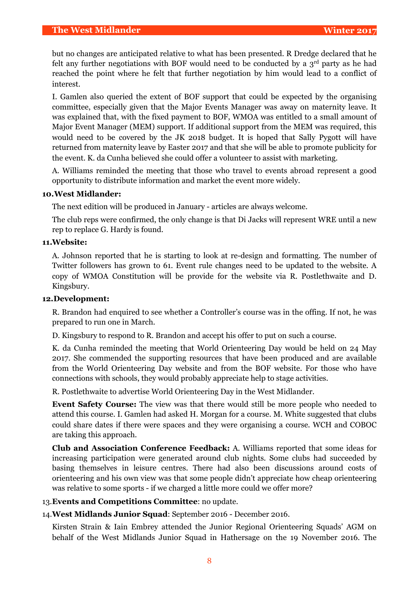but no changes are anticipated relative to what has been presented. R Dredge declared that he felt any further negotiations with BOF would need to be conducted by a  $3<sup>rd</sup>$  party as he had reached the point where he felt that further negotiation by him would lead to a conflict of interest.

I. Gamlen also queried the extent of BOF support that could be expected by the organising committee, especially given that the Major Events Manager was away on maternity leave. It was explained that, with the fixed payment to BOF, WMOA was entitled to a small amount of Major Event Manager (MEM) support. If additional support from the MEM was required, this would need to be covered by the JK 2018 budget. It is hoped that Sally Pygott will have returned from maternity leave by Easter 2017 and that she will be able to promote publicity for the event. K. da Cunha believed she could offer a volunteer to assist with marketing.

A. Williams reminded the meeting that those who travel to events abroad represent a good opportunity to distribute information and market the event more widely.

# **10.West Midlander:**

The next edition will be produced in January - articles are always welcome.

The club reps were confirmed, the only change is that Di Jacks will represent WRE until a new rep to replace G. Hardy is found.

# **11.Website:**

A. Johnson reported that he is starting to look at re-design and formatting. The number of Twitter followers has grown to 61. Event rule changes need to be updated to the website. A copy of WMOA Constitution will be provide for the website via R. Postlethwaite and D. Kingsbury.

# **12.Development:**

R. Brandon had enquired to see whether a Controller's course was in the offing. If not, he was prepared to run one in March.

D. Kingsbury to respond to R. Brandon and accept his offer to put on such a course.

K. da Cunha reminded the meeting that World Orienteering Day would be held on 24 May 2017. She commended the supporting resources that have been produced and are available from the World Orienteering Day website and from the BOF website. For those who have connections with schools, they would probably appreciate help to stage activities.

R. Postlethwaite to advertise World Orienteering Day in the West Midlander.

**Event Safety Course:** The view was that there would still be more people who needed to attend this course. I. Gamlen had asked H. Morgan for a course. M. White suggested that clubs could share dates if there were spaces and they were organising a course. WCH and COBOC are taking this approach.

**Club and Association Conference Feedback:** A. Williams reported that some ideas for increasing participation were generated around club nights. Some clubs had succeeded by basing themselves in leisure centres. There had also been discussions around costs of orienteering and his own view was that some people didn't appreciate how cheap orienteering was relative to some sports - if we charged a little more could we offer more?

### 13.**Events and Competitions Committee**: no update.

14.**West Midlands Junior Squad**: September 2016 - December 2016.

Kirsten Strain & Iain Embrey attended the Junior Regional Orienteering Squads' AGM on behalf of the West Midlands Junior Squad in Hathersage on the 19 November 2016. The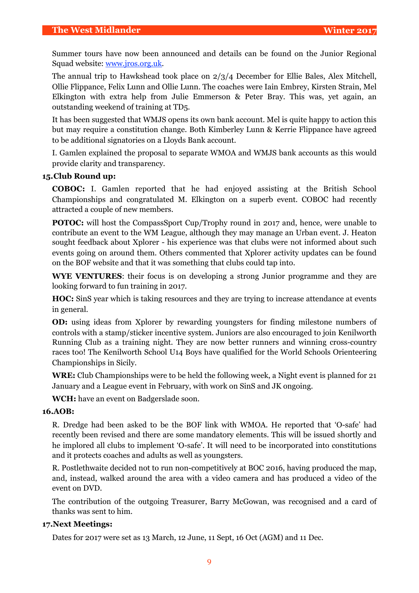Summer tours have now been announced and details can be found on the Junior Regional Squad website: [www.jros.org.uk.](http://www.jros.org.uk)

The annual trip to Hawkshead took place on 2/3/4 December for Ellie Bales, Alex Mitchell, Ollie Flippance, Felix Lunn and Ollie Lunn. The coaches were Iain Embrey, Kirsten Strain, Mel Elkington with extra help from Julie Emmerson & Peter Bray. This was, yet again, an outstanding weekend of training at TD5.

It has been suggested that WMJS opens its own bank account. Mel is quite happy to action this but may require a constitution change. Both Kimberley Lunn & Kerrie Flippance have agreed to be additional signatories on a Lloyds Bank account.

I. Gamlen explained the proposal to separate WMOA and WMJS bank accounts as this would provide clarity and transparency.

# **15.Club Round up:**

**COBOC:** I. Gamlen reported that he had enjoyed assisting at the British School Championships and congratulated M. Elkington on a superb event. COBOC had recently attracted a couple of new members.

**POTOC:** will host the CompassSport Cup/Trophy round in 2017 and, hence, were unable to contribute an event to the WM League, although they may manage an Urban event. J. Heaton sought feedback about Xplorer - his experience was that clubs were not informed about such events going on around them. Others commented that Xplorer activity updates can be found on the BOF website and that it was something that clubs could tap into.

**WYE VENTURES**: their focus is on developing a strong Junior programme and they are looking forward to fun training in 2017.

**HOC:** SinS year which is taking resources and they are trying to increase attendance at events in general.

**OD:** using ideas from Xplorer by rewarding youngsters for finding milestone numbers of controls with a stamp/sticker incentive system. Juniors are also encouraged to join Kenilworth Running Club as a training night. They are now better runners and winning cross-country races too! The Kenilworth School U14 Boys have qualified for the World Schools Orienteering Championships in Sicily.

**WRE:** Club Championships were to be held the following week, a Night event is planned for 21 January and a League event in February, with work on SinS and JK ongoing.

**WCH:** have an event on Badgerslade soon.

# **16.AOB:**

R. Dredge had been asked to be the BOF link with WMOA. He reported that 'O-safe' had recently been revised and there are some mandatory elements. This will be issued shortly and he implored all clubs to implement 'O-safe'. It will need to be incorporated into constitutions and it protects coaches and adults as well as youngsters.

R. Postlethwaite decided not to run non-competitively at BOC 2016, having produced the map, and, instead, walked around the area with a video camera and has produced a video of the event on DVD.

The contribution of the outgoing Treasurer, Barry McGowan, was recognised and a card of thanks was sent to him.

# **17.Next Meetings:**

Dates for 2017 were set as 13 March, 12 June, 11 Sept, 16 Oct (AGM) and 11 Dec.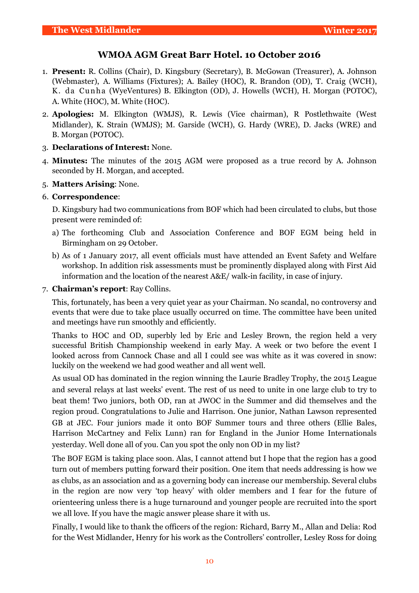# **WMOA AGM Great Barr Hotel. 10 October 2016**

- 1. **Present:** R. Collins (Chair), D. Kingsbury (Secretary), B. McGowan (Treasurer), A. Johnson (Webmaster), A. Williams (Fixtures); A. Bailey (HOC), R. Brandon (OD), T. Craig (WCH), K. da Cunha (WyeVentures) B. Elkington (OD), J. Howells (WCH), H. Morgan (POTOC), A. White (HOC), M. White (HOC).
- 2. **Apologies:** M. Elkington (WMJS), R. Lewis (Vice chairman), R Postlethwaite (West Midlander), K. Strain (WMJS); M. Garside (WCH), G. Hardy (WRE), D. Jacks (WRE) and B. Morgan (POTOC).

# 3. **Declarations of Interest:** None.

- 4. **Minutes:** The minutes of the 2015 AGM were proposed as a true record by A. Johnson seconded by H. Morgan, and accepted.
- 5. **Matters Arising**: None.

# 6. **Correspondence**:

D. Kingsbury had two communications from BOF which had been circulated to clubs, but those present were reminded of:

- a) The forthcoming Club and Association Conference and BOF EGM being held in Birmingham on 29 October.
- b) As of 1 January 2017, all event officials must have attended an Event Safety and Welfare workshop. In addition risk assessments must be prominently displayed along with First Aid information and the location of the nearest A&E/ walk-in facility, in case of injury.

# 7. **Chairman's report**: Ray Collins.

This, fortunately, has been a very quiet year as your Chairman. No scandal, no controversy and events that were due to take place usually occurred on time. The committee have been united and meetings have run smoothly and efficiently.

Thanks to HOC and OD, superbly led by Eric and Lesley Brown, the region held a very successful British Championship weekend in early May. A week or two before the event I looked across from Cannock Chase and all I could see was white as it was covered in snow: luckily on the weekend we had good weather and all went well.

As usual OD has dominated in the region winning the Laurie Bradley Trophy, the 2015 League and several relays at last weeks' event. The rest of us need to unite in one large club to try to beat them! Two juniors, both OD, ran at JWOC in the Summer and did themselves and the region proud. Congratulations to Julie and Harrison. One junior, Nathan Lawson represented GB at JEC. Four juniors made it onto BOF Summer tours and three others (Ellie Bales, Harrison McCartney and Felix Lunn) ran for England in the Junior Home Internationals yesterday. Well done all of you. Can you spot the only non OD in my list?

The BOF EGM is taking place soon. Alas, I cannot attend but I hope that the region has a good turn out of members putting forward their position. One item that needs addressing is how we as clubs, as an association and as a governing body can increase our membership. Several clubs in the region are now very 'top heavy' with older members and I fear for the future of orienteering unless there is a huge turnaround and younger people are recruited into the sport we all love. If you have the magic answer please share it with us.

Finally, I would like to thank the officers of the region: Richard, Barry M., Allan and Delia: Rod for the West Midlander, Henry for his work as the Controllers' controller, Lesley Ross for doing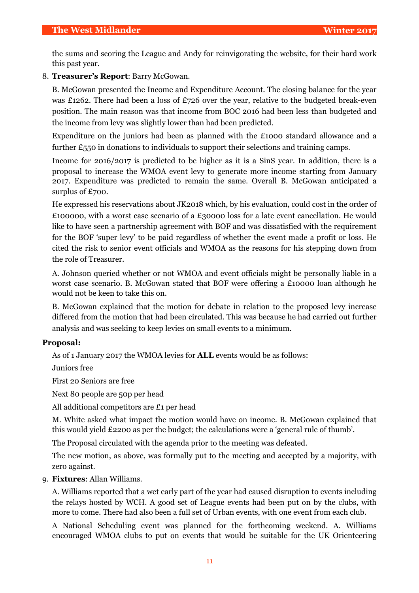the sums and scoring the League and Andy for reinvigorating the website, for their hard work this past year.

# 8. **Treasurer's Report**: Barry McGowan.

B. McGowan presented the Income and Expenditure Account. The closing balance for the year was £1262. There had been a loss of £726 over the year, relative to the budgeted break-even position. The main reason was that income from BOC 2016 had been less than budgeted and the income from levy was slightly lower than had been predicted.

Expenditure on the juniors had been as planned with the £1000 standard allowance and a further £550 in donations to individuals to support their selections and training camps.

Income for 2016/2017 is predicted to be higher as it is a SinS year. In addition, there is a proposal to increase the WMOA event levy to generate more income starting from January 2017. Expenditure was predicted to remain the same. Overall B. McGowan anticipated a surplus of £700.

He expressed his reservations about JK2018 which, by his evaluation, could cost in the order of £100000, with a worst case scenario of a £30000 loss for a late event cancellation. He would like to have seen a partnership agreement with BOF and was dissatisfied with the requirement for the BOF 'super levy' to be paid regardless of whether the event made a profit or loss. He cited the risk to senior event officials and WMOA as the reasons for his stepping down from the role of Treasurer.

A. Johnson queried whether or not WMOA and event officials might be personally liable in a worst case scenario. B. McGowan stated that BOF were offering a £10000 loan although he would not be keen to take this on.

B. McGowan explained that the motion for debate in relation to the proposed levy increase differed from the motion that had been circulated. This was because he had carried out further analysis and was seeking to keep levies on small events to a minimum.

# **Proposal:**

As of 1 January 2017 the WMOA levies for **ALL** events would be as follows:

Juniors free

First 20 Seniors are free

Next 80 people are 50p per head

All additional competitors are £1 per head

M. White asked what impact the motion would have on income. B. McGowan explained that this would yield £2200 as per the budget; the calculations were a 'general rule of thumb'.

The Proposal circulated with the agenda prior to the meeting was defeated.

The new motion, as above, was formally put to the meeting and accepted by a majority, with zero against.

# 9. **Fixtures**: Allan Williams.

A. Williams reported that a wet early part of the year had caused disruption to events including the relays hosted by WCH. A good set of League events had been put on by the clubs, with more to come. There had also been a full set of Urban events, with one event from each club.

A National Scheduling event was planned for the forthcoming weekend. A. Williams encouraged WMOA clubs to put on events that would be suitable for the UK Orienteering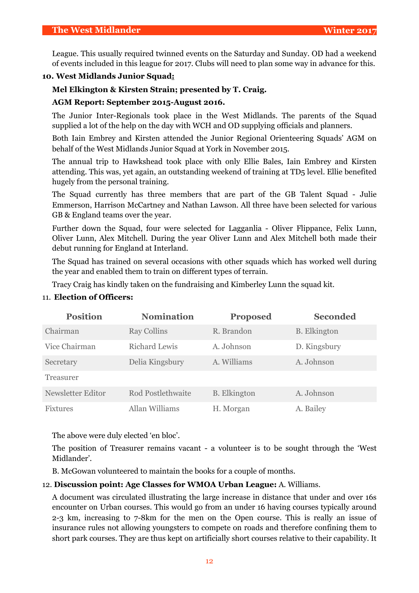League. This usually required twinned events on the Saturday and Sunday. OD had a weekend of events included in this league for 2017. Clubs will need to plan some way in advance for this.

# **10. West Midlands Junior Squad:**

# **Mel Elkington & Kirsten Strain; presented by T. Craig.**

### **AGM Report: September 2015-August 2016.**

The Junior Inter-Regionals took place in the West Midlands. The parents of the Squad supplied a lot of the help on the day with WCH and OD supplying officials and planners.

Both Iain Embrey and Kirsten attended the Junior Regional Orienteering Squads' AGM on behalf of the West Midlands Junior Squad at York in November 2015.

The annual trip to Hawkshead took place with only Ellie Bales, Iain Embrey and Kirsten attending. This was, yet again, an outstanding weekend of training at TD5 level. Ellie benefited hugely from the personal training.

The Squad currently has three members that are part of the GB Talent Squad - Julie Emmerson, Harrison McCartney and Nathan Lawson. All three have been selected for various GB & England teams over the year.

Further down the Squad, four were selected for Lagganlia - Oliver Flippance, Felix Lunn, Oliver Lunn, Alex Mitchell. During the year Oliver Lunn and Alex Mitchell both made their debut running for England at Interland.

The Squad has trained on several occasions with other squads which has worked well during the year and enabled them to train on different types of terrain.

Tracy Craig has kindly taken on the fundraising and Kimberley Lunn the squad kit.

| <b>Position</b>   | <b>Nomination</b>        | <b>Proposed</b>     | <b>Seconded</b>     |
|-------------------|--------------------------|---------------------|---------------------|
| Chairman          | <b>Ray Collins</b>       | R. Brandon          | <b>B.</b> Elkington |
| Vice Chairman     | <b>Richard Lewis</b>     | A. Johnson          | D. Kingsbury        |
| Secretary         | Delia Kingsbury          | A. Williams         | A. Johnson          |
| Treasurer         |                          |                     |                     |
| Newsletter Editor | <b>Rod Postlethwaite</b> | <b>B.</b> Elkington | A. Johnson          |
| <b>Fixtures</b>   | Allan Williams           | H. Morgan           | A. Bailey           |

# 11. **Election of Officers:**

The above were duly elected 'en bloc'.

The position of Treasurer remains vacant - a volunteer is to be sought through the 'West Midlander'.

B. McGowan volunteered to maintain the books for a couple of months.

# 12. **Discussion point: Age Classes for WMOA Urban League:** A. Williams.

A document was circulated illustrating the large increase in distance that under and over 16s encounter on Urban courses. This would go from an under 16 having courses typically around 2-3 km, increasing to 7-8km for the men on the Open course. This is really an issue of insurance rules not allowing youngsters to compete on roads and therefore confining them to short park courses. They are thus kept on artificially short courses relative to their capability. It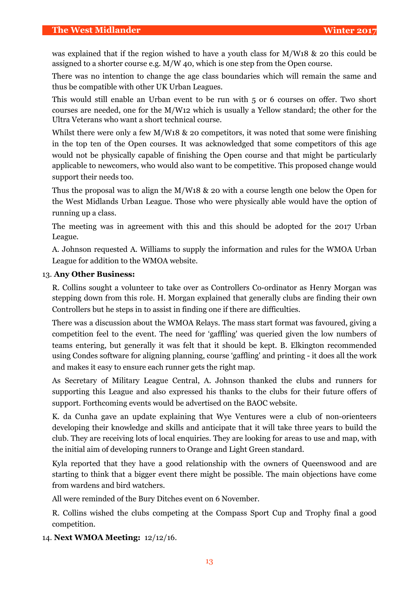was explained that if the region wished to have a youth class for M/W18 & 20 this could be assigned to a shorter course e.g. M/W 40, which is one step from the Open course.

There was no intention to change the age class boundaries which will remain the same and thus be compatible with other UK Urban Leagues.

This would still enable an Urban event to be run with 5 or 6 courses on offer. Two short courses are needed, one for the M/W12 which is usually a Yellow standard; the other for the Ultra Veterans who want a short technical course.

Whilst there were only a few M/W18 & 20 competitors, it was noted that some were finishing in the top ten of the Open courses. It was acknowledged that some competitors of this age would not be physically capable of finishing the Open course and that might be particularly applicable to newcomers, who would also want to be competitive. This proposed change would support their needs too.

Thus the proposal was to align the M/W18 & 20 with a course length one below the Open for the West Midlands Urban League. Those who were physically able would have the option of running up a class.

The meeting was in agreement with this and this should be adopted for the 2017 Urban League.

A. Johnson requested A. Williams to supply the information and rules for the WMOA Urban League for addition to the WMOA website.

# 13. **Any Other Business:**

R. Collins sought a volunteer to take over as Controllers Co-ordinator as Henry Morgan was stepping down from this role. H. Morgan explained that generally clubs are finding their own Controllers but he steps in to assist in finding one if there are difficulties.

There was a discussion about the WMOA Relays. The mass start format was favoured, giving a competition feel to the event. The need for 'gaffling' was queried given the low numbers of teams entering, but generally it was felt that it should be kept. B. Elkington recommended using Condes software for aligning planning, course 'gaffling' and printing - it does all the work and makes it easy to ensure each runner gets the right map.

As Secretary of Military League Central, A. Johnson thanked the clubs and runners for supporting this League and also expressed his thanks to the clubs for their future offers of support. Forthcoming events would be advertised on the BAOC website.

K. da Cunha gave an update explaining that Wye Ventures were a club of non-orienteers developing their knowledge and skills and anticipate that it will take three years to build the club. They are receiving lots of local enquiries. They are looking for areas to use and map, with the initial aim of developing runners to Orange and Light Green standard.

Kyla reported that they have a good relationship with the owners of Queenswood and are starting to think that a bigger event there might be possible. The main objections have come from wardens and bird watchers.

All were reminded of the Bury Ditches event on 6 November.

R. Collins wished the clubs competing at the Compass Sport Cup and Trophy final a good competition.

14. **Next WMOA Meeting:** 12/12/16.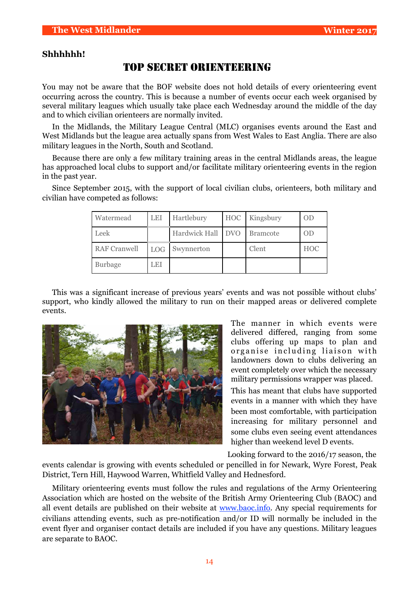# **Shhhhhh!**

# TOP SECRET ORIENTEERING

You may not be aware that the BOF website does not hold details of every orienteering event occurring across the country. This is because a number of events occur each week organised by several military leagues which usually take place each Wednesday around the middle of the day and to which civilian orienteers are normally invited.

In the Midlands, the Military League Central (MLC) organises events around the East and West Midlands but the league area actually spans from West Wales to East Anglia. There are also military leagues in the North, South and Scotland.

Because there are only a few military training areas in the central Midlands areas, the league has approached local clubs to support and/or facilitate military orienteering events in the region in the past year.

Since September 2015, with the support of local civilian clubs, orienteers, both military and civilian have competed as follows:

| Watermead           | LEI        | Hartlebury        | <b>HOC</b> | Kingsbury       | 0 <sub>D</sub> |
|---------------------|------------|-------------------|------------|-----------------|----------------|
| Leek                |            | Hardwick Hall DVO |            | <b>Bramcote</b> | 0 <sub>D</sub> |
| <b>RAF Cranwell</b> | <b>LOG</b> | Swynnerton        |            | Clent           | <b>HOC</b>     |
| <b>Burbage</b>      | LEI        |                   |            |                 |                |

This was a significant increase of previous years' events and was not possible without clubs' support, who kindly allowed the military to run on their mapped areas or delivered complete events.



The manner in which events were delivered differed, ranging from some clubs offering up maps to plan and organise including liaison with landowners down to clubs delivering an event completely over which the necessary military permissions wrapper was placed.

This has meant that clubs have supported events in a manner with which they have been most comfortable, with participation increasing for military personnel and some clubs even seeing event attendances higher than weekend level D events.

Looking forward to the 2016/17 season, the

events calendar is growing with events scheduled or pencilled in for Newark, Wyre Forest, Peak District, Tern Hill, Haywood Warren, Whitfield Valley and Hednesford.

Military orienteering events must follow the rules and regulations of the Army Orienteering Association which are hosted on the website of the British Army Orienteering Club (BAOC) and all event details are published on their website at [www.baoc.info.](http://www.baoc.info) Any special requirements for civilians attending events, such as pre-notification and/or ID will normally be included in the event flyer and organiser contact details are included if you have any questions. Military leagues are separate to BAOC.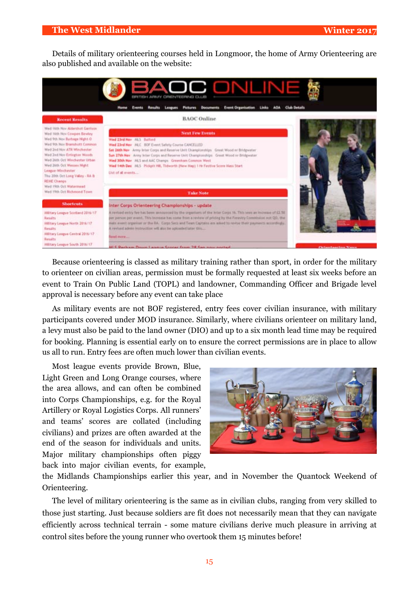Details of military orienteering courses held in Longmoor, the home of Army Orienteering are also published and available on the website:



Because orienteering is classed as military training rather than sport, in order for the military to orienteer on civilian areas, permission must be formally requested at least six weeks before an event to Train On Public Land (TOPL) and landowner, Commanding Officer and Brigade level approval is necessary before any event can take place

As military events are not BOF registered, entry fees cover civilian insurance, with military participants covered under MOD insurance. Similarly, where civilians orienteer on military land, a levy must also be paid to the land owner (DIO) and up to a six month lead time may be required for booking. Planning is essential early on to ensure the correct permissions are in place to allow us all to run. Entry fees are often much lower than civilian events.

Most league events provide Brown, Blue, Light Green and Long Orange courses, where the area allows, and can often be combined into Corps Championships, e.g. for the Royal Artillery or Royal Logistics Corps. All runners' and teams' scores are collated (including civilians) and prizes are often awarded at the end of the season for individuals and units. Major military championships often piggy back into major civilian events, for example,



the Midlands Championships earlier this year, and in November the Quantock Weekend of Orienteering.

The level of military orienteering is the same as in civilian clubs, ranging from very skilled to those just starting. Just because soldiers are fit does not necessarily mean that they can navigate efficiently across technical terrain - some mature civilians derive much pleasure in arriving at control sites before the young runner who overtook them 15 minutes before!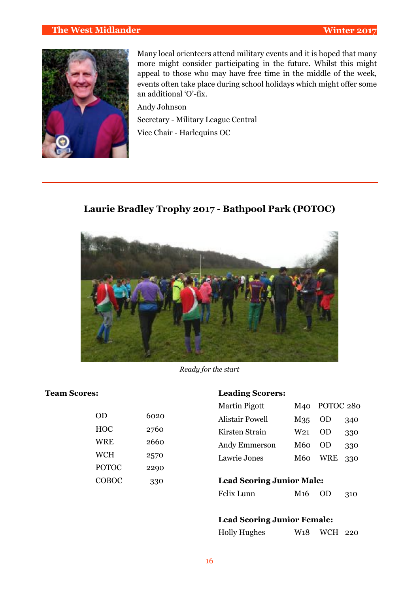# **The West Midlander Winter 2017**



Many local orienteers attend military events and it is hoped that many more might consider participating in the future. Whilst this might appeal to those who may have free time in the middle of the week, events often take place during school holidays which might offer some an additional 'O'-fix.

Andy Johnson Secretary - Military League Central Vice Chair - Harlequins OC

**Laurie Bradley Trophy 2017 - Bathpool Park (POTOC)**



*Ready for the start*

# **Team Scores:**

| 6020 |
|------|
| 2760 |
| 2660 |
| 2570 |
| 2290 |
| 330  |
|      |

### **Leading Scorers:**

| <b>Martin Pigott</b>   | M40             | POTOC 280  |     |
|------------------------|-----------------|------------|-----|
| <b>Alistair Powell</b> | M35             | -OD        | 340 |
| Kirsten Strain         | W <sub>21</sub> | OD         | 330 |
| Andy Emmerson          | M60             | OD         | 330 |
| Lawrie Jones           | M60             | <b>WRE</b> | 330 |
|                        |                 |            |     |

# **Lead Scoring Junior Male:**

| Felix Lunn | $M16$ OD |  | 310 |
|------------|----------|--|-----|
|------------|----------|--|-----|

# **Lead Scoring Junior Female:**

| <b>Holly Hughes</b> | W <sub>1</sub> 8 WCH 220 |  |
|---------------------|--------------------------|--|
|                     |                          |  |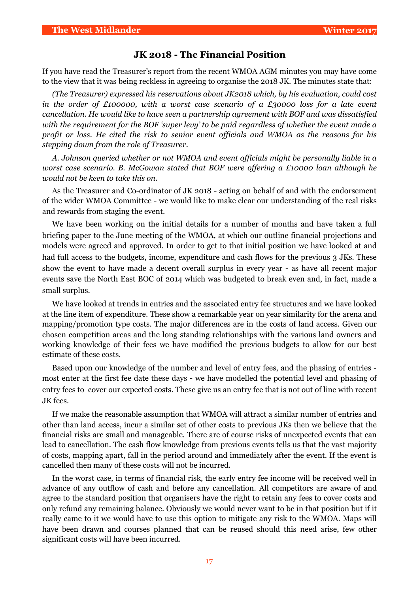# **JK 2018 - The Financial Position**

If you have read the Treasurer's report from the recent WMOA AGM minutes you may have come to the view that it was being reckless in agreeing to organise the 2018 JK. The minutes state that:

*(The Treasurer) expressed his reservations about JK2018 which, by his evaluation, could cost in the order of £100000, with a worst case scenario of a £30000 loss for a late event cancellation. He would like to have seen a partnership agreement with BOF and was dissatisfied with the requirement for the BOF 'super levy' to be paid regardless of whether the event made a profit or loss. He cited the risk to senior event officials and WMOA as the reasons for his stepping down from the role of Treasurer.* 

*A. Johnson queried whether or not WMOA and event officials might be personally liable in a worst case scenario. B. McGowan stated that BOF were offering a £10000 loan although he would not be keen to take this on.* 

As the Treasurer and Co-ordinator of JK 2018 - acting on behalf of and with the endorsement of the wider WMOA Committee - we would like to make clear our understanding of the real risks and rewards from staging the event.

We have been working on the initial details for a number of months and have taken a full briefing paper to the June meeting of the WMOA, at which our outline financial projections and models were agreed and approved. In order to get to that initial position we have looked at and had full access to the budgets, income, expenditure and cash flows for the previous 3 JKs. These show the event to have made a decent overall surplus in every year - as have all recent major events save the North East BOC of 2014 which was budgeted to break even and, in fact, made a small surplus.

We have looked at trends in entries and the associated entry fee structures and we have looked at the line item of expenditure. These show a remarkable year on year similarity for the arena and mapping/promotion type costs. The major differences are in the costs of land access. Given our chosen competition areas and the long standing relationships with the various land owners and working knowledge of their fees we have modified the previous budgets to allow for our best estimate of these costs.

Based upon our knowledge of the number and level of entry fees, and the phasing of entries most enter at the first fee date these days - we have modelled the potential level and phasing of entry fees to cover our expected costs. These give us an entry fee that is not out of line with recent JK fees.

If we make the reasonable assumption that WMOA will attract a similar number of entries and other than land access, incur a similar set of other costs to previous JKs then we believe that the financial risks are small and manageable. There are of course risks of unexpected events that can lead to cancellation. The cash flow knowledge from previous events tells us that the vast majority of costs, mapping apart, fall in the period around and immediately after the event. If the event is cancelled then many of these costs will not be incurred.

In the worst case, in terms of financial risk, the early entry fee income will be received well in advance of any outflow of cash and before any cancellation. All competitors are aware of and agree to the standard position that organisers have the right to retain any fees to cover costs and only refund any remaining balance. Obviously we would never want to be in that position but if it really came to it we would have to use this option to mitigate any risk to the WMOA. Maps will have been drawn and courses planned that can be reused should this need arise, few other significant costs will have been incurred.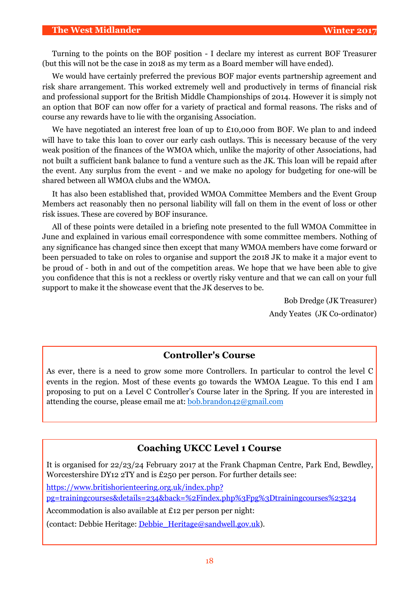#### **The West Midlander Winter 2017**

Turning to the points on the BOF position - I declare my interest as current BOF Treasurer (but this will not be the case in 2018 as my term as a Board member will have ended).

We would have certainly preferred the previous BOF major events partnership agreement and risk share arrangement. This worked extremely well and productively in terms of financial risk and professional support for the British Middle Championships of 2014. However it is simply not an option that BOF can now offer for a variety of practical and formal reasons. The risks and of course any rewards have to lie with the organising Association.

We have negotiated an interest free loan of up to £10,000 from BOF. We plan to and indeed will have to take this loan to cover our early cash outlays. This is necessary because of the very weak position of the finances of the WMOA which, unlike the majority of other Associations, had not built a sufficient bank balance to fund a venture such as the JK. This loan will be repaid after the event. Any surplus from the event - and we make no apology for budgeting for one-will be shared between all WMOA clubs and the WMOA.

It has also been established that, provided WMOA Committee Members and the Event Group Members act reasonably then no personal liability will fall on them in the event of loss or other risk issues. These are covered by BOF insurance.

All of these points were detailed in a briefing note presented to the full WMOA Committee in June and explained in various email correspondence with some committee members. Nothing of any significance has changed since then except that many WMOA members have come forward or been persuaded to take on roles to organise and support the 2018 JK to make it a major event to be proud of - both in and out of the competition areas. We hope that we have been able to give you confidence that this is not a reckless or overtly risky venture and that we can call on your full support to make it the showcase event that the JK deserves to be.

> Bob Dredge (JK Treasurer) Andy Yeates (JK Co-ordinator)

# **Controller's Course**

As ever, there is a need to grow some more Controllers. In particular to control the level C events in the region. Most of these events go towards the WMOA League. To this end I am proposing to put on a Level C Controller's Course later in the Spring. If you are interested in attending the course, please email me at: [bob.brandon42@gmail.com](mailto:bob.brandon42@gmail.com)

# **Coaching UKCC Level 1 Course**

It is organised for 22/23/24 February 2017 at the Frank Chapman Centre, Park End, Bewdley, Worcestershire DY12 2TY and is £250 per person. For further details see:

[https://www.britishorienteering.org.uk/index.php?](https://www.britishorienteering.org.uk/index.php?pg=trainingcourses&details=234&back=%2Findex.php%3Fpg%3Dtrainingcourses%23234)

[pg=trainingcourses&details=234&back=%2Findex.php%3Fpg%3Dtrainingcourses%23234](https://www.britishorienteering.org.uk/index.php?pg=trainingcourses&details=234&back=%2Findex.php%3Fpg%3Dtrainingcourses%23234)

Accommodation is also available at £12 per person per night:

(contact: Debbie Heritage: [Debbie\\_Heritage@sandwell.gov.uk](mailto:Debbie_Heritage@sandwell.gov.uk)).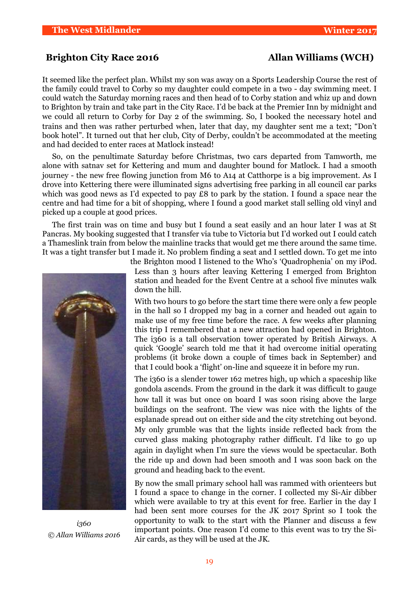# **Brighton City Race 2016** Allan Williams (WCH)

It seemed like the perfect plan. Whilst my son was away on a Sports Leadership Course the rest of the family could travel to Corby so my daughter could compete in a two - day swimming meet. I could watch the Saturday morning races and then head of to Corby station and whiz up and down to Brighton by train and take part in the City Race. I'd be back at the Premier Inn by midnight and we could all return to Corby for Day 2 of the swimming. So, I booked the necessary hotel and trains and then was rather perturbed when, later that day, my daughter sent me a text; "Don't book hotel". It turned out that her club, City of Derby, couldn't be accommodated at the meeting and had decided to enter races at Matlock instead!

So, on the penultimate Saturday before Christmas, two cars departed from Tamworth, me alone with satnav set for Kettering and mum and daughter bound for Matlock. I had a smooth journey - the new free flowing junction from M6 to A14 at Catthorpe is a big improvement. As I drove into Kettering there were illuminated signs advertising free parking in all council car parks which was good news as I'd expected to pay  $\pounds 8$  to park by the station. I found a space near the centre and had time for a bit of shopping, where I found a good market stall selling old vinyl and picked up a couple at good prices.

The first train was on time and busy but I found a seat easily and an hour later I was at St Pancras. My booking suggested that I transfer via tube to Victoria but I'd worked out I could catch a Thameslink train from below the mainline tracks that would get me there around the same time. It was a tight transfer but I made it. No problem finding a seat and I settled down. To get me into



*i360 © Allan Williams 2016*

the Brighton mood I listened to the Who's 'Quadrophenia' on my iPod. Less than 3 hours after leaving Kettering I emerged from Brighton station and headed for the Event Centre at a school five minutes walk down the hill.

With two hours to go before the start time there were only a few people in the hall so I dropped my bag in a corner and headed out again to make use of my free time before the race. A few weeks after planning this trip I remembered that a new attraction had opened in Brighton. The i360 is a tall observation tower operated by British Airways. A quick 'Google' search told me that it had overcome initial operating problems (it broke down a couple of times back in September) and that I could book a 'flight' on-line and squeeze it in before my run.

The i360 is a slender tower 162 metres high, up which a spaceship like gondola ascends. From the ground in the dark it was difficult to gauge how tall it was but once on board I was soon rising above the large buildings on the seafront. The view was nice with the lights of the esplanade spread out on either side and the city stretching out beyond. My only grumble was that the lights inside reflected back from the curved glass making photography rather difficult. I'd like to go up again in daylight when I'm sure the views would be spectacular. Both the ride up and down had been smooth and I was soon back on the ground and heading back to the event.

By now the small primary school hall was rammed with orienteers but I found a space to change in the corner. I collected my Si-Air dibber which were available to try at this event for free. Earlier in the day I had been sent more courses for the JK 2017 Sprint so I took the opportunity to walk to the start with the Planner and discuss a few important points. One reason I'd come to this event was to try the Si-Air cards, as they will be used at the JK.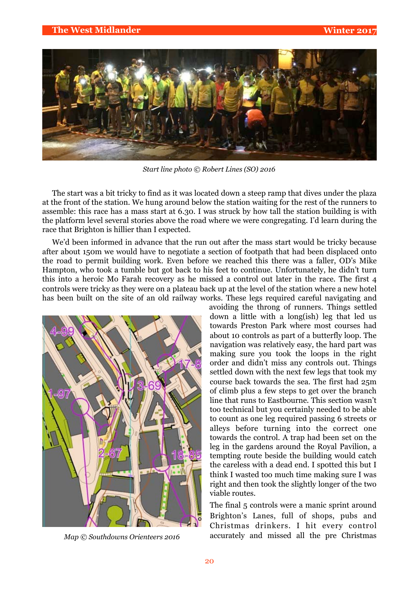

*Start line photo © Robert Lines (SO) 2016*

The start was a bit tricky to find as it was located down a steep ramp that dives under the plaza at the front of the station. We hung around below the station waiting for the rest of the runners to assemble: this race has a mass start at 6.30. I was struck by how tall the station building is with the platform level several stories above the road where we were congregating. I'd learn during the race that Brighton is hillier than I expected.

We'd been informed in advance that the run out after the mass start would be tricky because after about 150m we would have to negotiate a section of footpath that had been displaced onto the road to permit building work. Even before we reached this there was a faller, OD's Mike Hampton, who took a tumble but got back to his feet to continue. Unfortunately, he didn't turn this into a heroic Mo Farah recovery as he missed a control out later in the race. The first 4 controls were tricky as they were on a plateau back up at the level of the station where a new hotel has been built on the site of an old railway works. These legs required careful navigating and



*Map © Southdowns Orienteers 2016*

avoiding the throng of runners. Things settled down a little with a long(ish) leg that led us towards Preston Park where most courses had about 10 controls as part of a butterfly loop. The navigation was relatively easy, the hard part was making sure you took the loops in the right order and didn't miss any controls out. Things settled down with the next few legs that took my course back towards the sea. The first had 25m of climb plus a few steps to get over the branch line that runs to Eastbourne. This section wasn't too technical but you certainly needed to be able to count as one leg required passing 6 streets or alleys before turning into the correct one towards the control. A trap had been set on the leg in the gardens around the Royal Pavilion, a tempting route beside the building would catch the careless with a dead end. I spotted this but I think I wasted too much time making sure I was right and then took the slightly longer of the two viable routes.

The final 5 controls were a manic sprint around Brighton's Lanes, full of shops, pubs and Christmas drinkers. I hit every control accurately and missed all the pre Christmas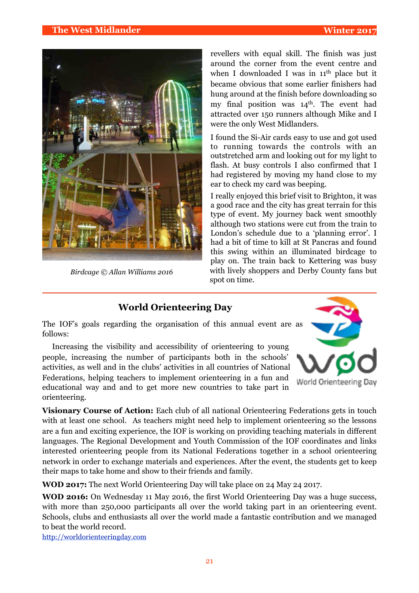

*Birdcage © Allan Williams 2016*

revellers with equal skill. The finish was just around the corner from the event centre and when I downloaded I was in 11<sup>th</sup> place but it became obvious that some earlier finishers had hung around at the finish before downloading so my final position was  $14<sup>th</sup>$ . The event had attracted over 150 runners although Mike and I were the only West Midlanders.

I found the Si-Air cards easy to use and got used to running towards the controls with an outstretched arm and looking out for my light to flash. At busy controls I also confirmed that I had registered by moving my hand close to my ear to check my card was beeping.

I really enjoyed this brief visit to Brighton, it was a good race and the city has great terrain for this type of event. My journey back went smoothly although two stations were cut from the train to London's schedule due to a 'planning error'. I had a bit of time to kill at St Pancras and found this swing within an illuminated birdcage to play on. The train back to Kettering was busy with lively shoppers and Derby County fans but spot on time.

# **World Orienteering Day**

The IOF's goals regarding the organisation of this annual event are as follows:

Increasing the visibility and accessibility of orienteering to young people, increasing the number of participants both in the schools' activities, as well and in the clubs' activities in all countries of National Federations, helping teachers to implement orienteering in a fun and educational way and and to get more new countries to take part in orienteering.



**Visionary Course of Action:** Each club of all national Orienteering Federations gets in touch with at least one school. As teachers might need help to implement orienteering so the lessons are a fun and exciting experience, the IOF is working on providing teaching materials in different languages. The Regional Development and Youth Commission of the IOF coordinates and links interested orienteering people from its National Federations together in a school orienteering network in order to exchange materials and experiences. After the event, the students get to keep their maps to take home and show to their friends and family.

**WOD 2017:** The next World Orienteering Day will take place on 24 May 24 2017.

**WOD 2016:** On Wednesday 11 May 2016, the first World Orienteering Day was a huge success, with more than 250,000 participants all over the world taking part in an orienteering event. Schools, clubs and enthusiasts all over the world made a fantastic contribution and we managed to beat the world record.

http://worldorienteeringday.com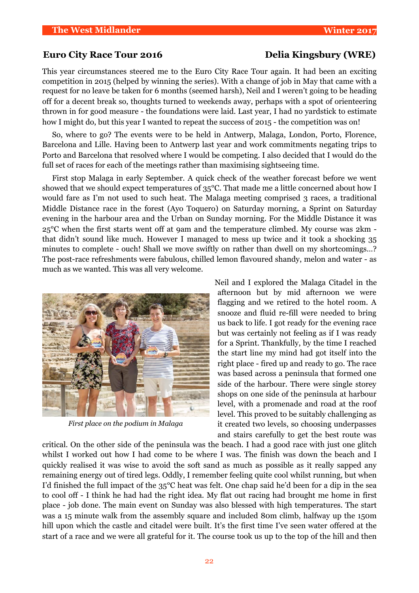# Euro City Race Tour 2016 **Delia Kingsbury (WRE)**

This year circumstances steered me to the Euro City Race Tour again. It had been an exciting competition in 2015 (helped by winning the series). With a change of job in May that came with a request for no leave be taken for 6 months (seemed harsh), Neil and I weren't going to be heading off for a decent break so, thoughts turned to weekends away, perhaps with a spot of orienteering thrown in for good measure - the foundations were laid. Last year, I had no yardstick to estimate how I might do, but this year I wanted to repeat the success of 2015 - the competition was on!

So, where to go? The events were to be held in Antwerp, Malaga, London, Porto, Florence, Barcelona and Lille. Having been to Antwerp last year and work commitments negating trips to Porto and Barcelona that resolved where I would be competing. I also decided that I would do the full set of races for each of the meetings rather than maximising sightseeing time.

First stop Malaga in early September. A quick check of the weather forecast before we went showed that we should expect temperatures of 35°C. That made me a little concerned about how I would fare as I'm not used to such heat. The Malaga meeting comprised 3 races, a traditional Middle Distance race in the forest (Ayo Toquero) on Saturday morning, a Sprint on Saturday evening in the harbour area and the Urban on Sunday morning. For the Middle Distance it was 25°C when the first starts went off at 9am and the temperature climbed. My course was 2km that didn't sound like much. However I managed to mess up twice and it took a shocking 35 minutes to complete - ouch! Shall we move swiftly on rather than dwell on my shortcomings…? The post-race refreshments were fabulous, chilled lemon flavoured shandy, melon and water - as much as we wanted. This was all very welcome.



*First place on the podium in Malaga*

Neil and I explored the Malaga Citadel in the afternoon but by mid afternoon we were flagging and we retired to the hotel room. A snooze and fluid re-fill were needed to bring us back to life. I got ready for the evening race but was certainly not feeling as if I was ready for a Sprint. Thankfully, by the time I reached the start line my mind had got itself into the right place - fired up and ready to go. The race was based across a peninsula that formed one side of the harbour. There were single storey shops on one side of the peninsula at harbour level, with a promenade and road at the roof level. This proved to be suitably challenging as it created two levels, so choosing underpasses and stairs carefully to get the best route was

critical. On the other side of the peninsula was the beach. I had a good race with just one glitch whilst I worked out how I had come to be where I was. The finish was down the beach and I quickly realised it was wise to avoid the soft sand as much as possible as it really sapped any remaining energy out of tired legs. Oddly, I remember feeling quite cool whilst running, but when I'd finished the full impact of the 35°C heat was felt. One chap said he'd been for a dip in the sea to cool off - I think he had had the right idea. My flat out racing had brought me home in first place - job done. The main event on Sunday was also blessed with high temperatures. The start was a 15 minute walk from the assembly square and included 80m climb, halfway up the 150m hill upon which the castle and citadel were built. It's the first time I've seen water offered at the start of a race and we were all grateful for it. The course took us up to the top of the hill and then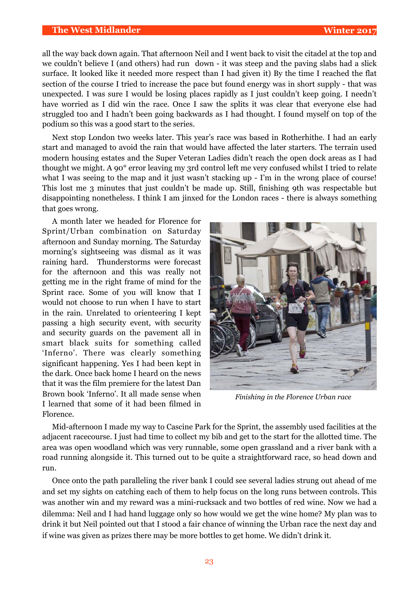#### **The West Midlander Winter 2017**

all the way back down again. That afternoon Neil and I went back to visit the citadel at the top and we couldn't believe I (and others) had run down - it was steep and the paving slabs had a slick surface. It looked like it needed more respect than I had given it) By the time I reached the flat section of the course I tried to increase the pace but found energy was in short supply - that was unexpected. I was sure I would be losing places rapidly as I just couldn't keep going. I needn't have worried as I did win the race. Once I saw the splits it was clear that everyone else had struggled too and I hadn't been going backwards as I had thought. I found myself on top of the podium so this was a good start to the series.

Next stop London two weeks later. This year's race was based in Rotherhithe. I had an early start and managed to avoid the rain that would have affected the later starters. The terrain used modern housing estates and the Super Veteran Ladies didn't reach the open dock areas as I had thought we might. A 90° error leaving my 3rd control left me very confused whilst I tried to relate what I was seeing to the map and it just wasn't stacking up - I'm in the wrong place of course! This lost me 3 minutes that just couldn't be made up. Still, finishing 9th was respectable but disappointing nonetheless. I think I am jinxed for the London races - there is always something that goes wrong.

A month later we headed for Florence for Sprint/Urban combination on Saturday afternoon and Sunday morning. The Saturday morning's sightseeing was dismal as it was raining hard. Thunderstorms were forecast for the afternoon and this was really not getting me in the right frame of mind for the Sprint race. Some of you will know that I would not choose to run when I have to start in the rain. Unrelated to orienteering I kept passing a high security event, with security and security guards on the pavement all in smart black suits for something called 'Inferno'. There was clearly something significant happening. Yes I had been kept in the dark. Once back home I heard on the news that it was the film premiere for the latest Dan Brown book 'Inferno'. It all made sense when I learned that some of it had been filmed in Florence.



*Finishing in the Florence Urban race*

Mid-afternoon I made my way to Cascine Park for the Sprint, the assembly used facilities at the adjacent racecourse. I just had time to collect my bib and get to the start for the allotted time. The area was open woodland which was very runnable, some open grassland and a river bank with a road running alongside it. This turned out to be quite a straightforward race, so head down and run.

Once onto the path paralleling the river bank I could see several ladies strung out ahead of me and set my sights on catching each of them to help focus on the long runs between controls. This was another win and my reward was a mini-rucksack and two bottles of red wine. Now we had a dilemma: Neil and I had hand luggage only so how would we get the wine home? My plan was to drink it but Neil pointed out that I stood a fair chance of winning the Urban race the next day and if wine was given as prizes there may be more bottles to get home. We didn't drink it.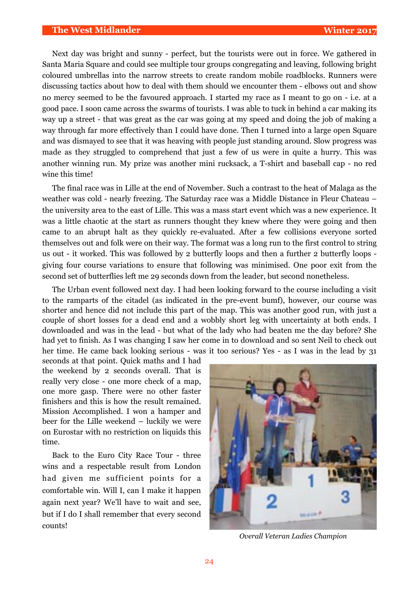Next day was bright and sunny - perfect, but the tourists were out in force. We gathered in Santa Maria Square and could see multiple tour groups congregating and leaving, following bright coloured umbrellas into the narrow streets to create random mobile roadblocks. Runners were discussing tactics about how to deal with them should we encounter them - elbows out and show no mercy seemed to be the favoured approach. I started my race as I meant to go on - i.e. at a good pace. I soon came across the swarms of tourists. I was able to tuck in behind a car making its way up a street - that was great as the car was going at my speed and doing the job of making a way through far more effectively than I could have done. Then I turned into a large open Square and was dismayed to see that it was heaving with people just standing around. Slow progress was made as they struggled to comprehend that just a few of us were in quite a hurry. This was another winning run. My prize was another mini rucksack, a T-shirt and baseball cap - no red wine this time!

The final race was in Lille at the end of November. Such a contrast to the heat of Malaga as the weather was cold - nearly freezing. The Saturday race was a Middle Distance in Fleur Chateau – the university area to the east of Lille. This was a mass start event which was a new experience. It was a little chaotic at the start as runners thought they knew where they were going and then came to an abrupt halt as they quickly re-evaluated. After a few collisions everyone sorted themselves out and folk were on their way. The format was a long run to the first control to string us out - it worked. This was followed by 2 butterfly loops and then a further 2 butterfly loops giving four course variations to ensure that following was minimised. One poor exit from the second set of butterflies left me 29 seconds down from the leader, but second nonetheless.

The Urban event followed next day. I had been looking forward to the course including a visit to the ramparts of the citadel (as indicated in the pre-event bumf), however, our course was shorter and hence did not include this part of the map. This was another good run, with just a couple of short losses for a dead end and a wobbly short leg with uncertainty at both ends. I downloaded and was in the lead - but what of the lady who had beaten me the day before? She had yet to finish. As I was changing I saw her come in to download and so sent Neil to check out her time. He came back looking serious - was it too serious? Yes - as I was in the lead by 31

seconds at that point. Quick maths and I had the weekend by 2 seconds overall. That is really very close - one more check of a map, one more gasp. There were no other faster finishers and this is how the result remained. Mission Accomplished. I won a hamper and beer for the Lille weekend – luckily we were on Eurostar with no restriction on liquids this time.

Back to the Euro City Race Tour - three wins and a respectable result from London had given me sufficient points for a comfortable win. Will I, can I make it happen again next year? We'll have to wait and see, but if I do I shall remember that every second counts!



*Overall Veteran Ladies Champion*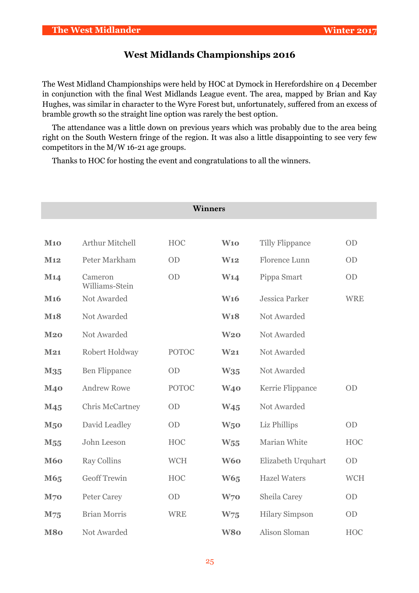# **West Midlands Championships 2016**

The West Midland Championships were held by HOC at Dymock in Herefordshire on 4 December in conjunction with the final West Midlands League event. The area, mapped by Brian and Kay Hughes, was similar in character to the Wyre Forest but, unfortunately, suffered from an excess of bramble growth so the straight line option was rarely the best option.

The attendance was a little down on previous years which was probably due to the area being right on the South Western fringe of the region. It was also a little disappointing to see very few competitors in the M/W 16-21 age groups.

Thanks to HOC for hosting the event and congratulations to all the winners.

| <b>Winners</b>   |                           |              |                 |                        |            |
|------------------|---------------------------|--------------|-----------------|------------------------|------------|
|                  |                           |              |                 |                        |            |
| <b>M10</b>       | <b>Arthur Mitchell</b>    | <b>HOC</b>   | W10             | <b>Tilly Flippance</b> | <b>OD</b>  |
| M12              | Peter Markham             | <b>OD</b>    | W <sub>12</sub> | Florence Lunn          | <b>OD</b>  |
| M <sub>14</sub>  | Cameron<br>Williams-Stein | OD           | W14             | Pippa Smart            | OD         |
| M <sub>16</sub>  | Not Awarded               |              | <b>W16</b>      | <b>Jessica Parker</b>  | <b>WRE</b> |
| M <sub>1</sub> 8 | Not Awarded               |              | <b>W18</b>      | Not Awarded            |            |
| M20              | Not Awarded               |              | W <sub>20</sub> | Not Awarded            |            |
| M21              | Robert Holdway            | <b>POTOC</b> | W <sub>21</sub> | Not Awarded            |            |
| M <sub>35</sub>  | <b>Ben Flippance</b>      | OD           | W35             | Not Awarded            |            |
| <b>M40</b>       | <b>Andrew Rowe</b>        | <b>POTOC</b> | W <sub>40</sub> | Kerrie Flippance       | <b>OD</b>  |
| M <sub>45</sub>  | <b>Chris McCartney</b>    | OD           | W <sub>45</sub> | Not Awarded            |            |
| <b>M50</b>       | David Leadley             | OD           | W <sub>5</sub>  | Liz Phillips           | OD         |
| M <sub>55</sub>  | John Leeson               | <b>HOC</b>   | $W_{55}$        | Marian White           | <b>HOC</b> |
| <b>M60</b>       | <b>Ray Collins</b>        | <b>WCH</b>   | <b>W60</b>      | Elizabeth Urquhart     | OD         |
| M65              | <b>Geoff Trewin</b>       | <b>HOC</b>   | <b>W65</b>      | <b>Hazel Waters</b>    | <b>WCH</b> |
| <b>M70</b>       | Peter Carey               | OD           | W <sub>70</sub> | Sheila Carey           | OD         |
| M75              | <b>Brian Morris</b>       | <b>WRE</b>   | W <sub>75</sub> | <b>Hilary Simpson</b>  | <b>OD</b>  |
| <b>M80</b>       | Not Awarded               |              | W80             | Alison Sloman          | HOC        |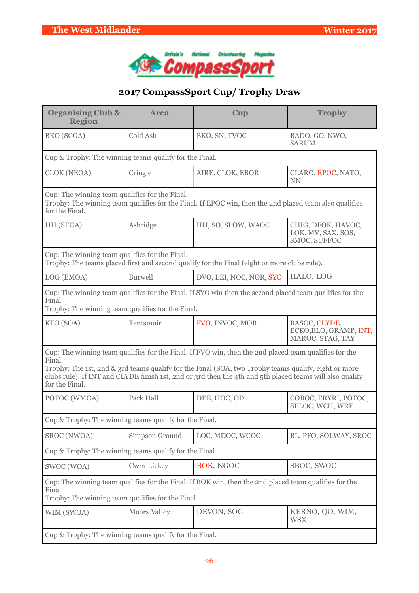

# **2017 CompassSport Cup/ Trophy Draw**

| <b>Organising Club &amp;</b><br><b>Region</b>                                                                                                                        | <b>Area</b>    | Cup                                                                                                                                                                                                                                                                                                                       | <b>Trophy</b>                                               |  |
|----------------------------------------------------------------------------------------------------------------------------------------------------------------------|----------------|---------------------------------------------------------------------------------------------------------------------------------------------------------------------------------------------------------------------------------------------------------------------------------------------------------------------------|-------------------------------------------------------------|--|
| <b>BKO</b> (SCOA)                                                                                                                                                    | Cold Ash       | BKO, SN, TVOC                                                                                                                                                                                                                                                                                                             | BADO, GO, NWO,<br><b>SARUM</b>                              |  |
| Cup & Trophy: The winning teams qualify for the Final.                                                                                                               |                |                                                                                                                                                                                                                                                                                                                           |                                                             |  |
| <b>CLOK (NEOA)</b>                                                                                                                                                   | Cringle        | AIRE, CLOK, EBOR                                                                                                                                                                                                                                                                                                          | CLARO, EPOC, NATO,<br><b>NN</b>                             |  |
| Cup: The winning team qualifies for the Final.<br>for the Final.                                                                                                     |                | Trophy: The winning team qualifies for the Final. If EPOC win, then the 2nd placed team also qualifies                                                                                                                                                                                                                    |                                                             |  |
| HH (SEOA)                                                                                                                                                            | Ashridge       | HH, SO, SLOW, WAOC                                                                                                                                                                                                                                                                                                        | CHIG, DFOK, HAVOC,<br>LOK, MV, SAX, SOS,<br>SMOC, SUFFOC    |  |
| Cup: The winning team qualifies for the Final.                                                                                                                       |                | Trophy: The teams placed first and second qualify for the Final (eight or more clubs rule).                                                                                                                                                                                                                               |                                                             |  |
| LOG (EMOA)                                                                                                                                                           | <b>Burwell</b> | DVO, LEI, NOC, NOR, SYO                                                                                                                                                                                                                                                                                                   | HALO, LOG                                                   |  |
| Final.<br>Trophy: The winning team qualifies for the Final.                                                                                                          |                | Cup: The winning team qualifies for the Final. If SYO win then the second placed team qualifies for the                                                                                                                                                                                                                   |                                                             |  |
| KFO (SOA)                                                                                                                                                            | Tentsmuir      | FVO, INVOC, MOR                                                                                                                                                                                                                                                                                                           | BASOC, CLYDE,<br>ECKO, ELO, GRAMP, INT,<br>MAROC, STAG, TAY |  |
| Final.<br>for the Final.                                                                                                                                             |                | Cup: The winning team qualifies for the Final. If FVO win, then the 2nd placed team qualifies for the<br>Trophy: The 1st, 2nd & 3rd teams qualify for the Final (SOA, two Trophy teams qualify, eight or more<br>clubs rule). If INT and CLYDE finish 1st, 2nd or 3rd then the 4th and 5th placed teams will also qualify |                                                             |  |
| POTOC (WMOA)                                                                                                                                                         | Park Hall      | DEE, HOC, OD                                                                                                                                                                                                                                                                                                              | COBOC, ERYRI, POTOC,<br>SELOC, WCH, WRE                     |  |
| Cup & Trophy: The winning teams qualify for the Final.                                                                                                               |                |                                                                                                                                                                                                                                                                                                                           |                                                             |  |
| <b>SROC</b> (NWOA)                                                                                                                                                   | Simpson Ground | LOC, MDOC, WCOC                                                                                                                                                                                                                                                                                                           | BL, PFO, SOLWAY, SROC                                       |  |
| Cup & Trophy: The winning teams qualify for the Final.                                                                                                               |                |                                                                                                                                                                                                                                                                                                                           |                                                             |  |
| SWOC (WOA)                                                                                                                                                           | Cwm Lickey     | BOK, NGOC                                                                                                                                                                                                                                                                                                                 | SBOC, SWOC                                                  |  |
| Cup: The winning team qualifies for the Final. If BOK win, then the 2nd placed team qualifies for the<br>Final.<br>Trophy: The winning team qualifies for the Final. |                |                                                                                                                                                                                                                                                                                                                           |                                                             |  |
| WIM (SWOA)                                                                                                                                                           | Moors Valley   | DEVON, SOC                                                                                                                                                                                                                                                                                                                | KERNO, QO, WIM,<br><b>WSX</b>                               |  |
| Cup & Trophy: The winning teams qualify for the Final.                                                                                                               |                |                                                                                                                                                                                                                                                                                                                           |                                                             |  |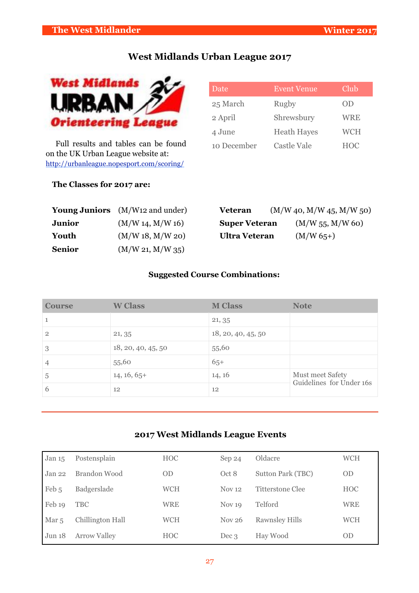# **West Midlands Urban League 2017**



Full results and tables can be found on the UK Urban League website at: <http://urbanleague.nopesport.com/scoring/>

| Date        | <b>Event Venue</b> | Club       |
|-------------|--------------------|------------|
| 25 March    | Rugby              | OD         |
| 2 April     | Shrewsbury         | WRE        |
| 4 June      | <b>Heath Hayes</b> | <b>WCH</b> |
| 10 December | <b>Castle Vale</b> | <b>HOC</b> |

# **The Classes for 2017 are:**

|               | <b>Young Juniors</b> (M/W <sub>12</sub> and under) | <b>Veteran</b>       | (M/W 40, M/W 45, M/W 50) |
|---------------|----------------------------------------------------|----------------------|--------------------------|
| <b>Junior</b> | (M/W 14, M/W 16)                                   | <b>Super Veteran</b> | (M/W 55, M/W 60)         |
| Youth         | (M/W 18, M/W 20)                                   | <b>Ultra Veteran</b> | $(M/W 65+)$              |
| <b>Senior</b> | (M/W 21, M/W 35)                                   |                      |                          |

# **Suggested Course Combinations:**

| <b>Course</b>  | <b>W</b> Class     | <b>M Class</b>     | <b>Note</b>                                  |
|----------------|--------------------|--------------------|----------------------------------------------|
| 1              |                    | 21, 35             |                                              |
| $\overline{2}$ | 21, 35             | 18, 20, 40, 45, 50 |                                              |
| 3              | 18, 20, 40, 45, 50 | 55,60              |                                              |
| 4              | 55,60              | $65+$              |                                              |
| 5              | $14, 16, 65+$      | 14, 16             | Must meet Safety<br>Guidelines for Under 16s |
| 6              | 12                 | 12                 |                                              |

# **2017 West Midlands League Events**

| Jan $15$          | Postensplain        | <b>HOC</b> | Sep 24            | Oldacre               | <b>WCH</b> |
|-------------------|---------------------|------------|-------------------|-----------------------|------------|
| Jan <sub>22</sub> | Brandon Wood        | <b>OD</b>  | Oct 8             | Sutton Park (TBC)     | <b>OD</b>  |
| Feb 5             | Badgerslade         | WCH        | <b>Nov</b> 12     | Titterstone Clee      | <b>HOC</b> |
| Feb 19            | <b>TBC</b>          | WRE        | Nov <sub>19</sub> | Telford               | <b>WRE</b> |
| Mar <sub>5</sub>  | Chillington Hall    | WCH        | Nov $26$          | <b>Rawnsley Hills</b> | <b>WCH</b> |
| Jun 18            | <b>Arrow Valley</b> | <b>HOC</b> | Dec 3             | Hay Wood              | <b>OD</b>  |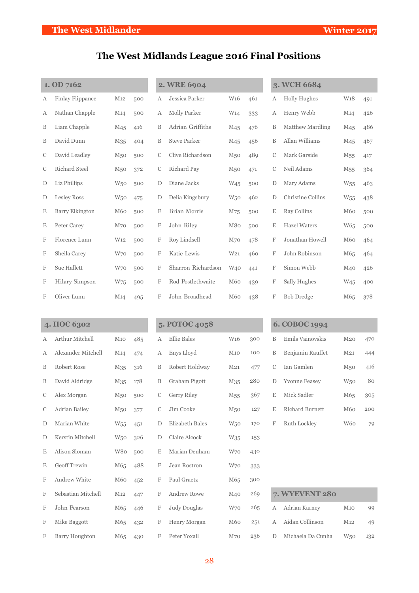# **The West Midlands League 2016 Final Positions**

| 1. OD 7162    |                         |                 |     |   | 2. WRE 6904         |                 |     |               | 3. WCH 6684             |                 |     |
|---------------|-------------------------|-----------------|-----|---|---------------------|-----------------|-----|---------------|-------------------------|-----------------|-----|
| А             | <b>Finlay Flippance</b> | M12             | 500 | А | Jessica Parker      | W <sub>16</sub> | 461 | А             | <b>Holly Hughes</b>     | W <sub>18</sub> | 491 |
| А             | Nathan Chapple          | M14             | 500 | А | <b>Molly Parker</b> | W <sub>14</sub> | 333 | А             | Henry Webb              | M <sub>14</sub> | 426 |
| B             | Liam Chapple            | M <sub>45</sub> | 416 | B | Adrian Griffiths    | M <sub>45</sub> | 476 | B             | <b>Matthew Mardling</b> | M <sub>45</sub> | 486 |
| B             | David Dunn              | M <sub>35</sub> | 404 | B | <b>Steve Parker</b> | M <sub>45</sub> | 456 | B             | Allan Williams          | M <sub>45</sub> | 467 |
| $\mathcal{C}$ | David Leadley           | M <sub>50</sub> | 500 | C | Clive Richardson    | M <sub>50</sub> | 489 | $\mathcal{C}$ | Mark Garside            | M <sub>55</sub> | 417 |
| $\mathcal{C}$ | <b>Richard Steel</b>    | M <sub>50</sub> | 372 | C | Richard Pay         | M <sub>50</sub> | 471 | C             | Neil Adams              | M <sub>55</sub> | 364 |
| D             | Liz Phillips            | W <sub>50</sub> | 500 | D | Diane Jacks         | W <sub>45</sub> | 500 | $\mathbf D$   | Mary Adams              | W <sub>55</sub> | 463 |
| D             | <b>Lesley Ross</b>      | W <sub>50</sub> | 475 | D | Delia Kingsbury     | W <sub>50</sub> | 462 | $\mathbf D$   | Christine Collins       | W <sub>55</sub> | 438 |
| E             | <b>Barry Elkington</b>  | M60             | 500 | E | Brian Morris        | M75             | 500 | E             | Ray Collins             | M60             | 500 |
| E             | Peter Carev             | M <sub>70</sub> | 500 | Ε | John Riley          | M80             | 500 | E             | <b>Hazel Waters</b>     | W65             | 500 |
| F             | Florence Lunn           | W <sub>12</sub> | 500 | F | Roy Lindsell        | M <sub>70</sub> | 478 | F             | Jonathan Howell         | M60             | 464 |
| F             | Sheila Carey            | W70             | 500 | F | Katie Lewis         | W <sub>21</sub> | 460 | F             | John Robinson           | M65             | 464 |
| F             | Sue Hallett             | W <sub>70</sub> | 500 | F | Sharron Richardson  | W <sub>40</sub> | 441 | F             | Simon Webb              | M <sub>40</sub> | 426 |
| F             | <b>Hilary Simpson</b>   | W75             | 500 | F | Rod Postlethwaite   | M60             | 439 | F             | Sally Hughes            | W <sub>45</sub> | 400 |
| F             | Oliver Lunn             | M <sub>14</sub> | 495 | F | John Broadhead      | M60             | 438 | F             | <b>Bob Dredge</b>       | M65             | 378 |

|               | 4. HOC 6302            |                 |     |              | 5. POTOC 4058          |                 |     |               | 6. COBOC 1994          |                 |     |
|---------------|------------------------|-----------------|-----|--------------|------------------------|-----------------|-----|---------------|------------------------|-----------------|-----|
| A             | <b>Arthur Mitchell</b> | M10             | 485 | $\mathbf{A}$ | <b>Ellie Bales</b>     | W <sub>16</sub> | 300 | B             | Emils Vainovskis       | $M_{20}$        | 470 |
| A             | Alexander Mitchell     | M14             | 474 | A            | Enys Lloyd             | M10             | 100 | B             | Benjamin Rauffet       | M <sub>21</sub> | 444 |
| B             | Robert Rose            | M <sub>35</sub> | 316 | B            | Robert Holdway         | M <sub>21</sub> | 477 | $\mathcal{C}$ | Ian Gamlen             | M <sub>50</sub> | 416 |
| B             | David Aldridge         | M <sub>35</sub> | 178 | B            | Graham Pigott          | M <sub>35</sub> | 280 | D             | <b>Yvonne Feasey</b>   | W <sub>50</sub> | 80  |
| $\mathcal{C}$ | Alex Morgan            | M <sub>50</sub> | 500 | C            | <b>Gerry Riley</b>     | M <sub>55</sub> | 367 | Ε             | Mick Sadler            | M65             | 305 |
| C             | <b>Adrian Bailey</b>   | M <sub>50</sub> | 377 | C            | Jim Cooke              | M <sub>50</sub> | 127 | E             | <b>Richard Burnett</b> | M60             | 200 |
| D             | Marian White           | W <sub>55</sub> | 451 | $\mathbf D$  | <b>Elizabeth Bales</b> | W <sub>50</sub> | 170 | $\mathbf F$   | Ruth Lockley           | W <sub>60</sub> | 79  |
| D             | Kerstin Mitchell       | W <sub>50</sub> | 326 | D            | <b>Claire Alcock</b>   | W35             | 153 |               |                        |                 |     |
| Ε             | Alison Sloman          | W80             | 500 | E            | Marian Denham          | W <sub>70</sub> | 430 |               |                        |                 |     |
| E             | Geoff Trewin           | M65             | 488 | E            | Jean Rostron           | W70             | 333 |               |                        |                 |     |
| F             | Andrew White           | M60             | 452 | F            | Paul Graetz            | M <sub>65</sub> | 300 |               |                        |                 |     |
| F             | Sebastian Mitchell     | M12             | 447 | F            | <b>Andrew Rowe</b>     | M <sub>40</sub> | 269 |               | 7. WYEVENT 280         |                 |     |
| $\mathbf{F}$  | John Pearson           | M65             | 446 | F            | <b>Judy Douglas</b>    | W <sub>70</sub> | 265 | А             | Adrian Karney          | M10             | 99  |
| F             | Mike Baggott           | M65             | 432 | F            | Henry Morgan           | M60             | 251 | А             | Aidan Collinson        | M <sub>12</sub> | 49  |
| F             | <b>Barry Houghton</b>  | M65             | 430 | F            | Peter Yoxall           | M <sub>70</sub> | 236 | D             | Michaela Da Cunha      | W <sub>50</sub> | 132 |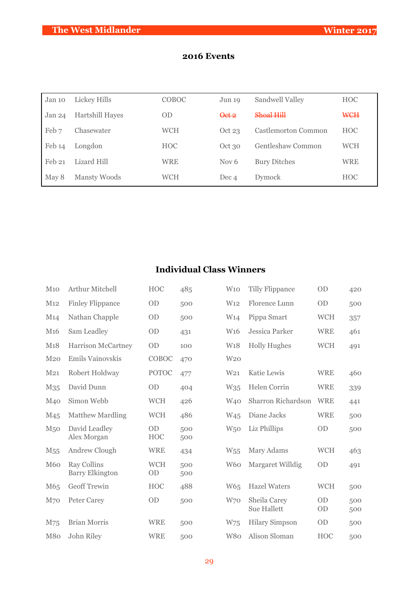| Jan 10 | Lickey Hills    | COBOC      | Jun 19           | Sandwell Valley     | <b>HOC</b> |
|--------|-----------------|------------|------------------|---------------------|------------|
| Jan 24 | Hartshill Hayes | <b>OD</b>  | Qct 2            | $Shoa$ $Hill$       | <b>WCH</b> |
| Feb 7  | Chasewater      | <b>WCH</b> | Oct $23$         | Castlemorton Common | <b>HOC</b> |
| Feb 14 | Longdon         | <b>HOC</b> | Oct 30           | Gentleshaw Common   | <b>WCH</b> |
| Feb 21 | Lizard Hill     | WRE        | Nov <sub>6</sub> | <b>Bury Ditches</b> | <b>WRE</b> |
| May 8  | Mansty Woods    | WCH        | Dec 4            | <b>Dymock</b>       | <b>HOC</b> |

# **2016 Events**

# **Individual Class Winners**

| M10             | Arthur Mitchell                              | <b>HOC</b>              | 485        | W10             | <b>Tilly Flippance</b>             | <b>OD</b>  | 420        |
|-----------------|----------------------------------------------|-------------------------|------------|-----------------|------------------------------------|------------|------------|
| M12             | <b>Finley Flippance</b>                      | OD                      | 500        | W <sub>12</sub> | Florence Lunn                      | OD         | 500        |
| M <sub>14</sub> | Nathan Chapple                               | OD                      | 500        | W <sub>14</sub> | Pippa Smart                        | <b>WCH</b> | 357        |
| M <sub>16</sub> | Sam Leadley                                  | <b>OD</b>               | 431        | W <sub>16</sub> | Jessica Parker                     | <b>WRE</b> | 461        |
| M18             | Harrison McCartney                           | OD                      | 100        | W <sub>18</sub> | <b>Holly Hughes</b>                | <b>WCH</b> | 491        |
| M <sub>20</sub> | Emils Vainovskis                             | COBOC                   | 470        | W <sub>20</sub> |                                    |            |            |
| M21             | Robert Holdway                               | <b>POTOC</b>            | 477        | W <sub>21</sub> | Katie Lewis                        | <b>WRE</b> | 460        |
| M <sub>35</sub> | David Dunn                                   | <b>OD</b>               | 404        | W <sub>35</sub> | Helen Corrin                       | <b>WRE</b> | 339        |
| M <sub>40</sub> | Simon Webb                                   | <b>WCH</b>              | 426        | W <sub>40</sub> | Sharron Richardson                 | <b>WRE</b> | 441        |
| M45             | <b>Matthew Mardling</b>                      | <b>WCH</b>              | 486        | W <sub>45</sub> | Diane Jacks                        | <b>WRE</b> | 500        |
| M <sub>50</sub> | David Leadley<br>Alex Morgan                 | OD<br><b>HOC</b>        | 500<br>500 | W <sub>50</sub> | Liz Phillips                       | OD         | 500        |
| M <sub>55</sub> | Andrew Clough                                | <b>WRE</b>              | 434        | W <sub>55</sub> | Mary Adams                         | <b>WCH</b> | 463        |
| <b>M60</b>      | <b>Ray Collins</b><br><b>Barry Elkington</b> | <b>WCH</b><br><b>OD</b> | 500<br>500 | W <sub>60</sub> | Margaret Willdig                   | <b>OD</b>  | 491        |
| M65             | <b>Geoff Trewin</b>                          | <b>HOC</b>              | 488        | W65             | <b>Hazel Waters</b>                | <b>WCH</b> | 500        |
| M <sub>70</sub> | <b>Peter Carey</b>                           | OD                      | 500        | W70             | Sheila Carey<br><b>Sue Hallett</b> | OD<br>OD   | 500<br>500 |
| M75             | <b>Brian Morris</b>                          | <b>WRE</b>              | 500        | W75             | <b>Hilary Simpson</b>              | OD         | 500        |
| M80             | John Riley                                   | <b>WRE</b>              | 500        | W <sub>80</sub> | Alison Sloman                      | HOC        | 500        |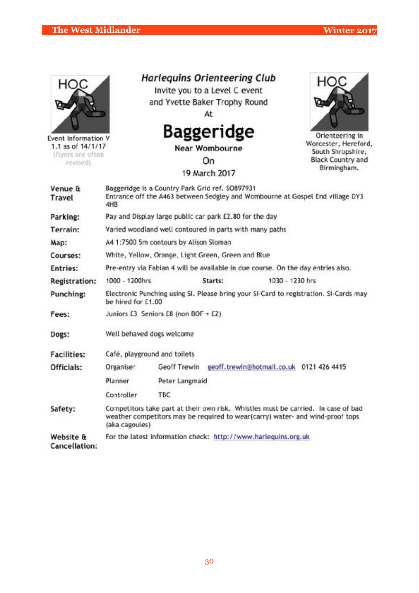

Event Information V 1.1 as of 14/1/17 (flyers are often revised)

**Harlequins Orienteering Club** 

Invite you to a Level C event and Yvette Baker Trophy Round At



**Near Wombourne** 

On

19 March 2017



Orienteering in Worcester, Hereford, South Shropshire, **Black Country and** Birmingham.

| Venue &<br>Travel             | Baggeridge is a Country Park Grid ref. SO897931<br>Entrance off the A463 between Sedgley and Wombourne at Gospel End village DY3<br>4HB |                                                         |         |                                                                                  |                                                                                                                                                                    |  |  |
|-------------------------------|-----------------------------------------------------------------------------------------------------------------------------------------|---------------------------------------------------------|---------|----------------------------------------------------------------------------------|--------------------------------------------------------------------------------------------------------------------------------------------------------------------|--|--|
| Parking:                      |                                                                                                                                         | Pay and Display large public car park £2.80 for the day |         |                                                                                  |                                                                                                                                                                    |  |  |
| Terrain:                      |                                                                                                                                         | Varied woodland well contoured in parts with many paths |         |                                                                                  |                                                                                                                                                                    |  |  |
| Map:                          |                                                                                                                                         | A4 1:7500 5m contours by Alison Sloman                  |         |                                                                                  |                                                                                                                                                                    |  |  |
| Courses:                      |                                                                                                                                         | White, Yellow, Orange, Light Green, Green and Blue.     |         |                                                                                  |                                                                                                                                                                    |  |  |
| Entries:                      |                                                                                                                                         |                                                         |         | Pre-entry via Fabian 4 will be available in due course. On the day entries also. |                                                                                                                                                                    |  |  |
| <b>Registration:</b>          | 1000 - 1200hrs                                                                                                                          |                                                         | Starts: | 1030 - 1230 hrs                                                                  |                                                                                                                                                                    |  |  |
| Punching:                     | be hired for £1.00                                                                                                                      |                                                         |         |                                                                                  | Electronic Punching using SI. Please bring your SI-Card to registration. SI-Cards may                                                                              |  |  |
| Fees:                         |                                                                                                                                         | Juniors E3 Seniors E8 (non BOF + E2)                    |         |                                                                                  |                                                                                                                                                                    |  |  |
| Dogs:                         |                                                                                                                                         | Well behaved dogs welcome                               |         |                                                                                  |                                                                                                                                                                    |  |  |
| <b>Facilities:</b>            |                                                                                                                                         | Café, playground and toilets                            |         |                                                                                  |                                                                                                                                                                    |  |  |
| Officials:                    | Organiser                                                                                                                               | Geoff Trewin                                            |         | geoff.trewin@hotmail.co.uk 0121 426 4415                                         |                                                                                                                                                                    |  |  |
|                               | Planner                                                                                                                                 | Peter Langmaid                                          |         |                                                                                  |                                                                                                                                                                    |  |  |
|                               | Controller                                                                                                                              | <b>TBC</b>                                              |         |                                                                                  |                                                                                                                                                                    |  |  |
| Safety:                       | (aka cagoules)                                                                                                                          |                                                         |         |                                                                                  | Competitors take part at their own risk. Whistles must be carried. In case of bad<br>weather competitors may be required to wear(carry) water- and wind-proof tops |  |  |
| Website &<br>$C$ sneellstien: |                                                                                                                                         |                                                         |         | For the latest information check: http://www.harlequins.org.uk                   |                                                                                                                                                                    |  |  |

Cancellation: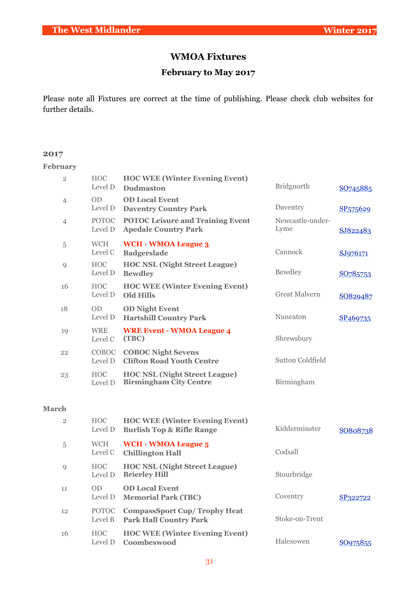# **WMOA Fixtures**

# **February to May 2017**

Please note all Fixtures are correct at the time of publishing. Please check club websites for further details.

#### **2017**

#### **February**

| $\overline{2}$ | <b>HOC</b><br>Level D     | <b>HOC WEE (Winter Evening Event)</b><br><b>Dudmaston</b>                     | <b>Bridgnorth</b>        | SO745885             |
|----------------|---------------------------|-------------------------------------------------------------------------------|--------------------------|----------------------|
| 4              | 0 <sub>D</sub><br>Level D | <b>OD Local Event</b><br><b>Daventry Country Park</b>                         | Daventry                 | SP <sub>575629</sub> |
| 4              | <b>POTOC</b><br>Level D   | <b>POTOC Leisure and Training Event</b><br><b>Apedale Country Park</b>        | Newcastle-under-<br>Lyme | SJ822483             |
| 5              | <b>WCH</b><br>Level C     | <b>WCH - WMOA League 3</b><br><b>Badgerslade</b>                              | Cannock                  | SJ976171             |
| 9              | <b>HOC</b><br>Level D     | <b>HOC NSL (Night Street League)</b><br><b>Bewdley</b>                        | Bewdley                  | SO785753             |
| 16             | <b>HOC</b><br>Level D     | <b>HOC WEE (Winter Evening Event)</b><br><b>Old Hills</b>                     | <b>Great Malvern</b>     | SO829487             |
| 18             | <b>OD</b><br>Level D      | <b>OD Night Event</b><br><b>Hartshill Country Park</b>                        | Nuneaton                 | SP <sub>469735</sub> |
| 19             | <b>WRE</b><br>Level C     | <b>WRE Event - WMOA League 4</b><br>(TBC)                                     | Shrewsbury               |                      |
| 22             | <b>COBOC</b><br>Level D   | <b>COBOC Night Sevens</b><br><b>Clifton Road Youth Centre</b>                 | Sutton Coldfield         |                      |
| 23             | <b>HOC</b><br>Level D     | <b>HOC NSL (Night Street League)</b><br><b>Birmingham City Centre</b>         | Birmingham               |                      |
| <b>March</b>   |                           |                                                                               |                          |                      |
| $\overline{2}$ | <b>HOC</b><br>Level D     | <b>HOC WEE (Winter Evening Event)</b><br><b>Burlish Top &amp; Rifle Range</b> | Kidderminster            | SO808738             |
| 5              | <b>WCH</b><br>Level C     | <b>WCH - WMOA League 5</b><br><b>Chillington Hall</b>                         | Codsall                  |                      |
| 9              | <b>HOC</b><br>Level D     | <b>HOC NSL (Night Street League)</b><br><b>Brierley Hill</b>                  | Stourbridge              |                      |
| 11             | 0 <sub>D</sub><br>Level D | <b>OD Local Event</b><br><b>Memorial Park (TBC)</b>                           | Coventry                 | SP322722             |
| 12             | <b>POTOC</b>              | <b>CompassSport Cup/Trophy Heat</b>                                           |                          |                      |

Level B Park Hall Country Park Stoke-on-Trent 16 HOC Level D **Coombeswood** Halesowen SO975855 **HOC WEE (Winter Evening Event)**